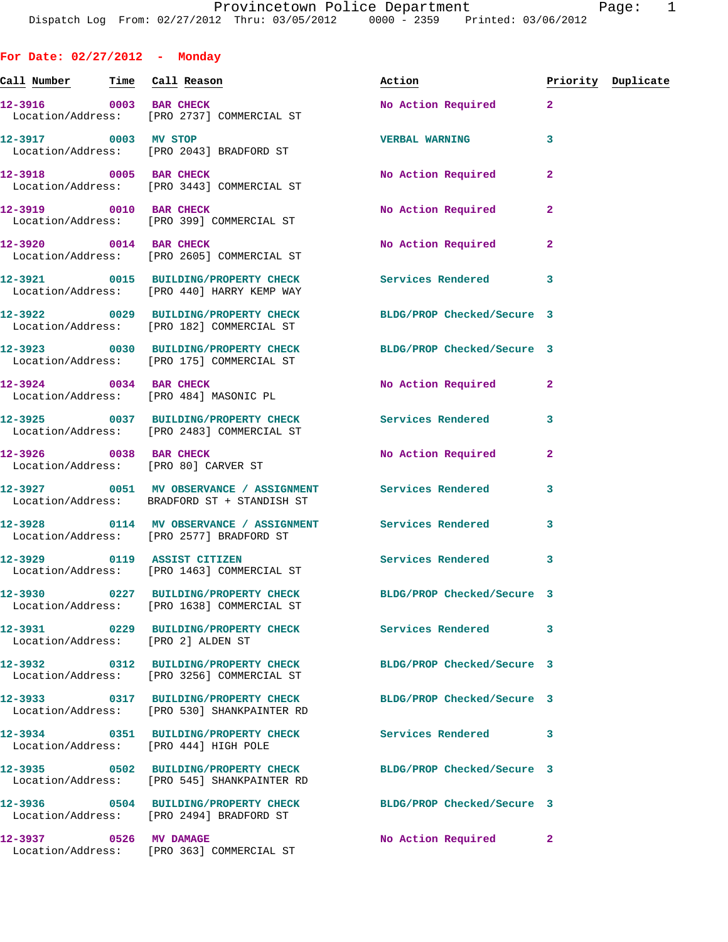|           | raye. |  |
|-----------|-------|--|
| 3/06/2012 |       |  |

|  |  | For Date: 02/27/2012 |  | Monday |
|--|--|----------------------|--|--------|
|--|--|----------------------|--|--------|

| Call Number Time       | Call Reason                                                                                                   | Action                     |                | Priority Duplicate |
|------------------------|---------------------------------------------------------------------------------------------------------------|----------------------------|----------------|--------------------|
|                        | 12-3916 0003 BAR CHECK<br>Location/Address: [PRO 2737] COMMERCIAL ST                                          | No Action Required         | $\mathbf{2}$   |                    |
| 12-3917 0003 MV STOP   | Location/Address: [PRO 2043] BRADFORD ST                                                                      | <b>VERBAL WARNING</b>      | 3              |                    |
|                        | 12-3918 0005 BAR CHECK<br>Location/Address: [PRO 3443] COMMERCIAL ST                                          | No Action Required         | $\mathbf{2}$   |                    |
| 12-3919 0010 BAR CHECK | Location/Address: [PRO 399] COMMERCIAL ST                                                                     | No Action Required         | $\mathbf{2}$   |                    |
|                        | 12-3920 0014 BAR CHECK<br>Location/Address: [PRO 2605] COMMERCIAL ST                                          | No Action Required         | $\overline{2}$ |                    |
|                        | 12-3921 0015 BUILDING/PROPERTY CHECK Services Rendered<br>Location/Address: [PRO 440] HARRY KEMP WAY          |                            | 3              |                    |
|                        | 12-3922 0029 BUILDING/PROPERTY CHECK BLDG/PROP Checked/Secure 3<br>Location/Address: [PRO 182] COMMERCIAL ST  |                            |                |                    |
|                        | 12-3923 0030 BUILDING/PROPERTY CHECK BLDG/PROP Checked/Secure 3<br>Location/Address: [PRO 175] COMMERCIAL ST  |                            |                |                    |
| 12-3924 0034 BAR CHECK | Location/Address: [PRO 484] MASONIC PL                                                                        | No Action Required         | $\mathbf{2}$   |                    |
|                        | 12-3925 0037 BUILDING/PROPERTY CHECK Services Rendered<br>Location/Address: [PRO 2483] COMMERCIAL ST          |                            | 3              |                    |
|                        | 12-3926 0038 BAR CHECK<br>Location/Address: [PRO 80] CARVER ST                                                | No Action Required         | $\mathbf{2}$   |                    |
|                        | 12-3927 0051 MV OBSERVANCE / ASSIGNMENT Services Rendered<br>Location/Address: BRADFORD ST + STANDISH ST      |                            | 3              |                    |
|                        | 12-3928 0114 MV OBSERVANCE / ASSIGNMENT Services Rendered<br>Location/Address: [PRO 2577] BRADFORD ST         |                            | 3              |                    |
|                        | 12-3929 0119 ASSIST CITIZEN<br>Location/Address: [PRO 1463] COMMERCIAL ST                                     | <b>Services Rendered</b>   | 3              |                    |
|                        | 12-3930 0227 BUILDING/PROPERTY CHECK BLDG/PROP Checked/Secure 3<br>Location/Address: [PRO 1638] COMMERCIAL ST |                            |                |                    |
|                        | 12-3931 0229 BUILDING/PROPERTY CHECK Services Rendered<br>Location/Address: [PRO 2] ALDEN ST                  |                            | 3              |                    |
|                        | 12-3932 0312 BUILDING/PROPERTY CHECK BLDG/PROP Checked/Secure 3<br>Location/Address: [PRO 3256] COMMERCIAL ST |                            |                |                    |
|                        | 12-3933 0317 BUILDING/PROPERTY CHECK<br>Location/Address: [PRO 530] SHANKPAINTER RD                           | BLDG/PROP Checked/Secure 3 |                |                    |
|                        | 12-3934 0351 BUILDING/PROPERTY CHECK<br>Location/Address: [PRO 444] HIGH POLE                                 | Services Rendered          | 3              |                    |
|                        | 12-3935 0502 BUILDING/PROPERTY CHECK<br>Location/Address: [PRO 545] SHANKPAINTER RD                           | BLDG/PROP Checked/Secure 3 |                |                    |
|                        | 12-3936 0504 BUILDING/PROPERTY CHECK<br>Location/Address: [PRO 2494] BRADFORD ST                              | BLDG/PROP Checked/Secure 3 |                |                    |
| 12-3937 0526 MV DAMAGE | Location/Address: [PRO 363] COMMERCIAL ST                                                                     | No Action Required         | $\mathbf{2}$   |                    |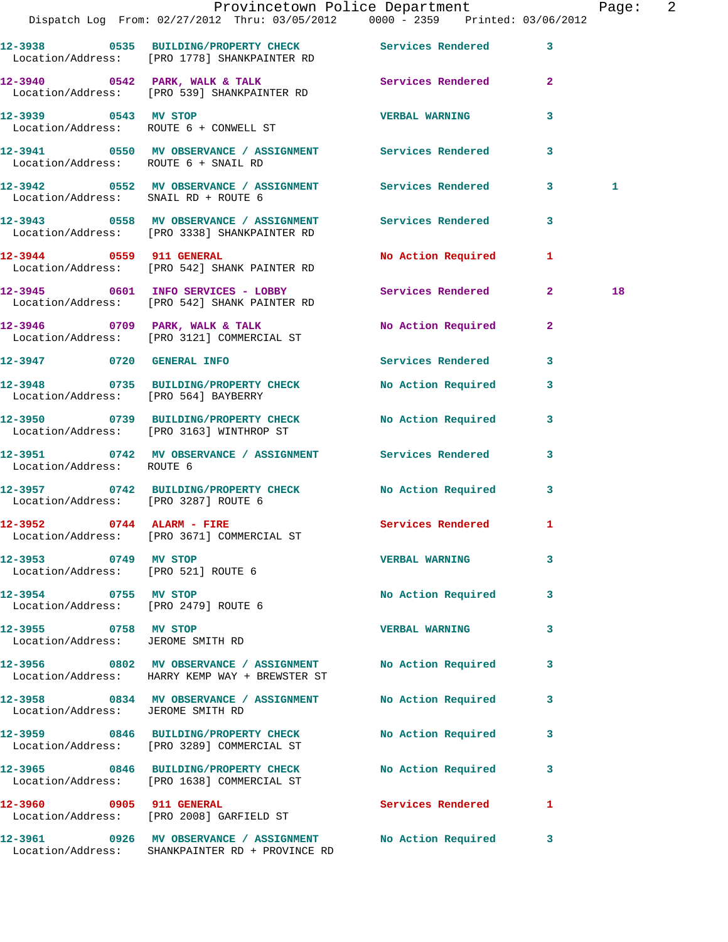|                                                              | Provincetown Police Department<br>Dispatch Log From: 02/27/2012 Thru: 03/05/2012 0000 - 2359 Printed: 03/06/2012 |                           |                         | Page: 2      |  |
|--------------------------------------------------------------|------------------------------------------------------------------------------------------------------------------|---------------------------|-------------------------|--------------|--|
|                                                              | 12-3938 0535 BUILDING/PROPERTY CHECK Services Rendered 3<br>Location/Address: [PRO 1778] SHANKPAINTER RD         |                           |                         |              |  |
|                                                              | 12-3940 0542 PARK, WALK & TALK 1 Services Rendered 2<br>Location/Address: [PRO 539] SHANKPAINTER RD              |                           |                         |              |  |
| 12-3939 0543 MV STOP                                         | Location/Address: ROUTE 6 + CONWELL ST                                                                           | <b>VERBAL WARNING</b>     | 3                       |              |  |
| Location/Address: ROUTE 6 + SNAIL RD                         | 12-3941 0550 MV OBSERVANCE / ASSIGNMENT Services Rendered                                                        |                           | $\mathbf{3}$            |              |  |
| Location/Address: SNAIL RD + ROUTE 6                         | 12-3942 6552 MV OBSERVANCE / ASSIGNMENT Services Rendered 3                                                      |                           |                         | $\mathbf{1}$ |  |
|                                                              | 12-3943 0558 MV OBSERVANCE / ASSIGNMENT Services Rendered 3<br>Location/Address: [PRO 3338] SHANKPAINTER RD      |                           |                         |              |  |
|                                                              | 12-3944 0559 911 GENERAL<br>Location/Address: [PRO 542] SHANK PAINTER RD                                         | No Action Required 1      |                         |              |  |
|                                                              | 12-3945 0601 INFO SERVICES - LOBBY Services Rendered 2<br>Location/Address: [PRO 542] SHANK PAINTER RD           |                           |                         | 18           |  |
|                                                              | $12-3946$ 0709 PARK, WALK & TALK<br>Location/Address: [PRO 3121] COMMERCIAL ST                                   | No Action Required 2      |                         |              |  |
|                                                              | 12-3947 0720 GENERAL INFO                                                                                        | Services Rendered         | $\mathbf{3}$            |              |  |
|                                                              | 12-3948 0735 BUILDING/PROPERTY CHECK<br>Location/Address: [PRO 564] BAYBERRY                                     | No Action Required 3      |                         |              |  |
|                                                              | 12-3950 0739 BUILDING/PROPERTY CHECK<br>Location/Address: [PRO 3163] WINTHROP ST                                 | No Action Required 3      |                         |              |  |
| Location/Address: ROUTE 6                                    | 12-3951 0742 MV OBSERVANCE / ASSIGNMENT Services Rendered 3                                                      |                           |                         |              |  |
| Location/Address: [PRO 3287] ROUTE 6                         | 12-3957 0742 BUILDING/PROPERTY CHECK                                                                             | No Action Required        | $\overline{\mathbf{3}}$ |              |  |
| 12-3952                                                      | $0744$ ALARM - FIRE<br>Location/Address: [PRO 3671] COMMERCIAL ST                                                | Services Rendered 1       |                         |              |  |
| 12-3953 0749 MV STOP<br>Location/Address: [PRO 521] ROUTE 6  |                                                                                                                  | <b>VERBAL WARNING</b>     | 3                       |              |  |
| 12-3954 0755 MW STOP<br>Location/Address: [PRO 2479] ROUTE 6 |                                                                                                                  | No Action Required 3      |                         |              |  |
| 12-3955 0758 MV STOP<br>Location/Address: JEROME SMITH RD    |                                                                                                                  | <b>VERBAL WARNING</b>     | 3                       |              |  |
|                                                              | 12-3956 6802 MV OBSERVANCE / ASSIGNMENT No Action Required<br>Location/Address: HARRY KEMP WAY + BREWSTER ST     |                           | $\mathbf{3}$            |              |  |
| Location/Address: JEROME SMITH RD                            | 12-3958 0834 MV OBSERVANCE / ASSIGNMENT No Action Required                                                       |                           | 3                       |              |  |
|                                                              | 12-3959 0846 BUILDING/PROPERTY CHECK<br>Location/Address: [PRO 3289] COMMERCIAL ST                               | No Action Required 3      |                         |              |  |
|                                                              | 12-3965 0846 BUILDING/PROPERTY CHECK<br>Location/Address: [PRO 1638] COMMERCIAL ST                               | No Action Required        | $\overline{\mathbf{3}}$ |              |  |
|                                                              | 12-3960 0905 911 GENERAL<br>Location/Address: [PRO 2008] GARFIELD ST                                             | Services Rendered 1       |                         |              |  |
| 12-3961                                                      | 0926 MV OBSERVANCE / ASSIGNMENT                                                                                  | <b>No Action Required</b> | 3                       |              |  |

Location/Address: SHANKPAINTER RD + PROVINCE RD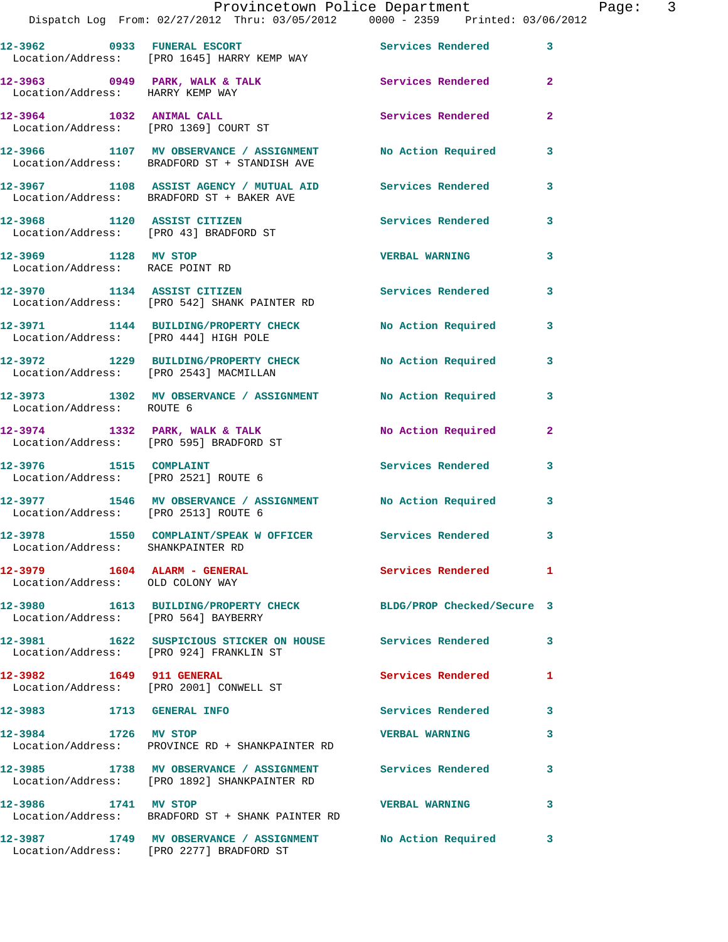|                                                                        | Provincetown Police Department                                                                             |                            |              |
|------------------------------------------------------------------------|------------------------------------------------------------------------------------------------------------|----------------------------|--------------|
|                                                                        | Dispatch Log From: 02/27/2012 Thru: 03/05/2012 0000 - 2359 Printed: 03/06/2012                             |                            |              |
|                                                                        | 12-3962 0933 FUNERAL ESCORT<br>Location/Address: [PRO 1645] HARRY KEMP WAY                                 | Services Rendered          | 3            |
| Location/Address: HARRY KEMP WAY                                       | $12-3963$ 0949 PARK, WALK & TALK                                                                           | Services Rendered          | $\mathbf{2}$ |
|                                                                        | 12-3964 1032 ANIMAL CALL<br>Location/Address: [PRO 1369] COURT ST                                          | Services Rendered          | $\mathbf{2}$ |
|                                                                        | 12-3966 1107 MV OBSERVANCE / ASSIGNMENT NO Action Required<br>Location/Address: BRADFORD ST + STANDISH AVE |                            | 3            |
|                                                                        | 12-3967 1108 ASSIST AGENCY / MUTUAL AID Services Rendered<br>Location/Address: BRADFORD ST + BAKER AVE     |                            | 3            |
| 12-3968 1120 ASSIST CITIZEN                                            | Location/Address: [PRO 43] BRADFORD ST                                                                     | <b>Services Rendered</b>   | 3            |
| 12-3969 1128 MV STOP<br>Location/Address: RACE POINT RD                |                                                                                                            | <b>VERBAL WARNING</b>      | 3            |
|                                                                        | 12-3970 1134 ASSIST CITIZEN<br>Location/Address: [PRO 542] SHANK PAINTER RD                                | <b>Services Rendered</b>   | 3            |
| Location/Address: [PRO 444] HIGH POLE                                  | 12-3971 1144 BUILDING/PROPERTY CHECK No Action Required                                                    |                            | 3            |
|                                                                        | 12-3972 1229 BUILDING/PROPERTY CHECK<br>Location/Address: [PRO 2543] MACMILLAN                             | <b>No Action Required</b>  | 3            |
| Location/Address: ROUTE 6                                              | 12-3973 1302 MV OBSERVANCE / ASSIGNMENT No Action Required                                                 |                            | 3            |
|                                                                        | $12-3974$ 1332 PARK, WALK & TALK<br>Location/Address: [PRO 595] BRADFORD ST                                | No Action Required         | $\mathbf{2}$ |
| 12-3976 1515 COMPLAINT<br>Location/Address: [PRO 2521] ROUTE 6         |                                                                                                            | <b>Services Rendered</b>   | 3            |
| Location/Address: [PRO 2513] ROUTE 6                                   | 12-3977 1546 MV OBSERVANCE / ASSIGNMENT No Action Required                                                 |                            | 3            |
| Location/Address: SHANKPAINTER RD                                      | 12-3978 1550 COMPLAINT/SPEAK WOFFICER Services Rendered                                                    |                            |              |
| 12-3979    1604    ALARM - GENERAL<br>Location/Address: OLD COLONY WAY |                                                                                                            | Services Rendered          | 1            |
| Location/Address: [PRO 564] BAYBERRY                                   | 12-3980 1613 BUILDING/PROPERTY CHECK                                                                       | BLDG/PROP Checked/Secure 3 |              |
|                                                                        | 12-3981 1622 SUSPICIOUS STICKER ON HOUSE Services Rendered<br>Location/Address: [PRO 924] FRANKLIN ST      |                            | 3            |
| 12-3982 1649 911 GENERAL                                               | Location/Address: [PRO 2001] CONWELL ST                                                                    | <b>Services Rendered</b>   | 1            |
| 12-3983 1713 GENERAL INFO                                              |                                                                                                            | <b>Services Rendered</b>   | 3            |
| 12-3984 1726 MV STOP                                                   | Location/Address: PROVINCE RD + SHANKPAINTER RD                                                            | <b>VERBAL WARNING</b>      | 3            |
|                                                                        | 12-3985 1738 MV OBSERVANCE / ASSIGNMENT Services Rendered<br>Location/Address: [PRO 1892] SHANKPAINTER RD  |                            | 3            |
| 1741 MV STOP<br>12-3986                                                | Location/Address: BRADFORD ST + SHANK PAINTER RD                                                           | <b>VERBAL WARNING</b>      | 3            |
|                                                                        | 12-3987 1749 MV OBSERVANCE / ASSIGNMENT No Action Required<br>Location/Address: [PRO 2277] BRADFORD ST     |                            | 3            |

Page: 3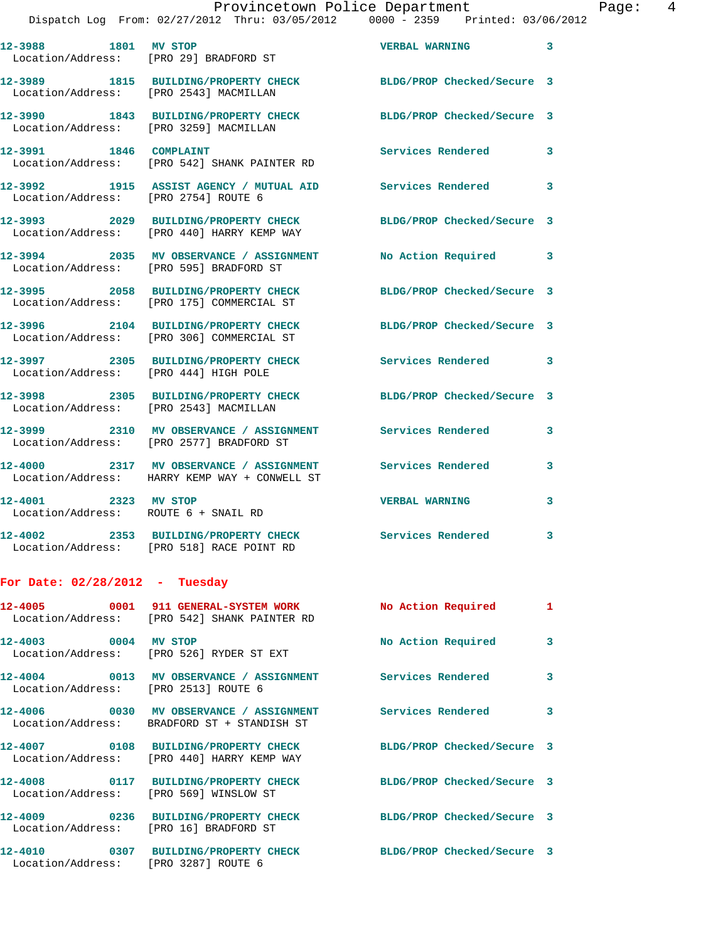|                                                              | Dispatch Log From: 02/27/2012 Thru: 03/05/2012 0000 - 2359 Printed: 03/06/2012                                |                            |    |
|--------------------------------------------------------------|---------------------------------------------------------------------------------------------------------------|----------------------------|----|
| 12-3988 1801 MV STOP                                         | Location/Address: [PRO 29] BRADFORD ST                                                                        | <b>VERBAL WARNING</b>      | 3  |
| Location/Address: [PRO 2543] MACMILLAN                       | 12-3989 1815 BUILDING/PROPERTY CHECK BLDG/PROP Checked/Secure 3                                               |                            |    |
| Location/Address: [PRO 3259] MACMILLAN                       | 12-3990 1843 BUILDING/PROPERTY CHECK                                                                          | BLDG/PROP Checked/Secure 3 |    |
| 12-3991 1846 COMPLAINT                                       | Location/Address: [PRO 542] SHANK PAINTER RD                                                                  | <b>Services Rendered</b>   | 3  |
| Location/Address: [PRO 2754] ROUTE 6                         | 12-3992 1915 ASSIST AGENCY / MUTUAL AID Services Rendered                                                     |                            | 3  |
|                                                              | 12-3993 2029 BUILDING/PROPERTY CHECK<br>Location/Address: [PRO 440] HARRY KEMP WAY                            | BLDG/PROP Checked/Secure 3 |    |
|                                                              | 12-3994 2035 MV OBSERVANCE / ASSIGNMENT<br>Location/Address: [PRO 595] BRADFORD ST                            | No Action Required         | 3  |
|                                                              | 12-3995 2058 BUILDING/PROPERTY CHECK<br>Location/Address: [PRO 175] COMMERCIAL ST                             | BLDG/PROP Checked/Secure 3 |    |
|                                                              | 12-3996 2104 BUILDING/PROPERTY CHECK BLDG/PROP Checked/Secure 3<br>Location/Address: [PRO 306] COMMERCIAL ST  |                            |    |
| Location/Address: [PRO 444] HIGH POLE                        | 12-3997 2305 BUILDING/PROPERTY CHECK                                                                          | Services Rendered          | 3  |
| Location/Address: [PRO 2543] MACMILLAN                       | 12-3998 2305 BUILDING/PROPERTY CHECK BLDG/PROP Checked/Secure 3                                               |                            |    |
|                                                              | 12-3999 2310 MV OBSERVANCE / ASSIGNMENT Services Rendered<br>Location/Address: [PRO 2577] BRADFORD ST         |                            | 3  |
|                                                              | 12-4000 2317 MV OBSERVANCE / ASSIGNMENT Services Rendered<br>Location/Address: HARRY KEMP WAY + CONWELL ST    |                            | 3  |
| 12-4001 2323 MV STOP<br>Location/Address: ROUTE 6 + SNAIL RD |                                                                                                               | <b>VERBAL WARNING</b>      | 3  |
|                                                              | 12-4002 2353 BUILDING/PROPERTY CHECK Services Rendered<br>Location/Address: [PRO 518] RACE POINT RD           |                            | 3  |
| For Date: $02/28/2012$ - Tuesday                             |                                                                                                               |                            |    |
|                                                              | 12-4005 0001 911 GENERAL-SYSTEM WORK<br>Location/Address: [PRO 542] SHANK PAINTER RD                          | No Action Required         | 1  |
| 12-4003 0004 MV STOP                                         | Location/Address: [PRO 526] RYDER ST EXT                                                                      | No Action Required         | 3  |
| Location/Address: [PRO 2513] ROUTE 6                         | 12-4004 0013 MV OBSERVANCE / ASSIGNMENT Services Rendered                                                     |                            | 3  |
|                                                              | 12-4006 6030 MV OBSERVANCE / ASSIGNMENT Services Rendered<br>Location/Address: BRADFORD ST + STANDISH ST      |                            | 3. |
|                                                              | 12-4007 0108 BUILDING/PROPERTY CHECK BLDG/PROP Checked/Secure 3<br>Location/Address: [PRO 440] HARRY KEMP WAY |                            |    |
| Location/Address: [PRO 569] WINSLOW ST                       | 12-4008 0117 BUILDING/PROPERTY CHECK BLDG/PROP Checked/Secure 3                                               |                            |    |
| Location/Address: [PRO 16] BRADFORD ST                       | 12-4009 0236 BUILDING/PROPERTY CHECK BLDG/PROP Checked/Secure 3                                               |                            |    |
| Location/Address: [PRO 3287] ROUTE 6                         | 12-4010 0307 BUILDING/PROPERTY CHECK BLDG/PROP Checked/Secure 3                                               |                            |    |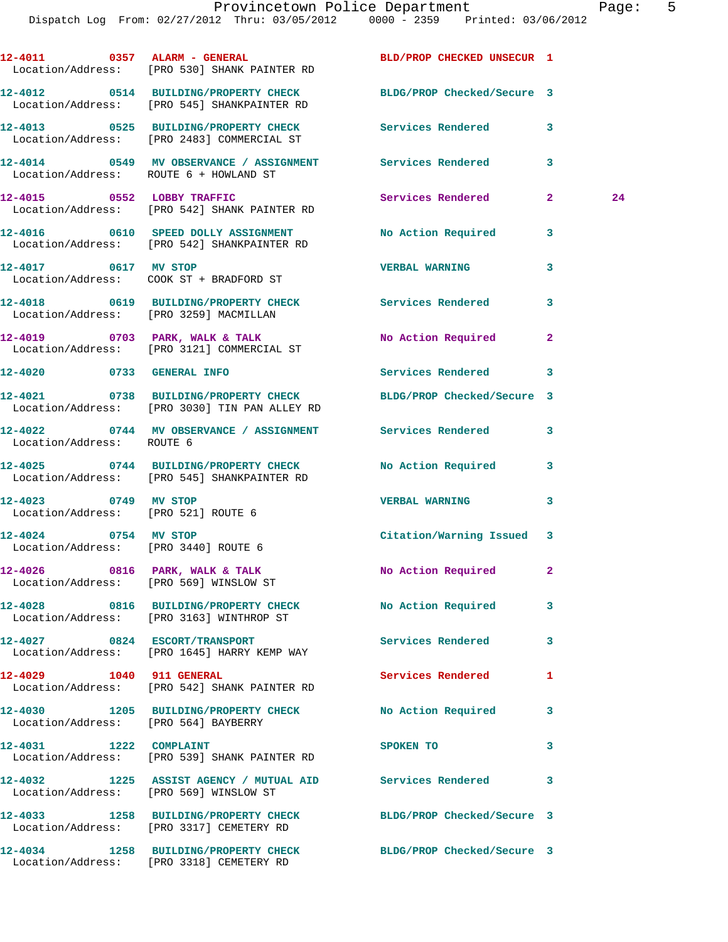|                                                                          | 12-4011 0357 ALARM - GENERAL<br>Location/Address: [PRO 530] SHANK PAINTER RD                                     | BLD/PROP CHECKED UNSECUR 1 |              |    |
|--------------------------------------------------------------------------|------------------------------------------------------------------------------------------------------------------|----------------------------|--------------|----|
|                                                                          | 12-4012 0514 BUILDING/PROPERTY CHECK<br>Location/Address: [PRO 545] SHANKPAINTER RD                              | BLDG/PROP Checked/Secure 3 |              |    |
|                                                                          | 12-4013 0525 BUILDING/PROPERTY CHECK<br>Location/Address: [PRO 2483] COMMERCIAL ST                               | Services Rendered          | 3            |    |
| Location/Address: ROUTE 6 + HOWLAND ST                                   | 12-4014 0549 MV OBSERVANCE / ASSIGNMENT Services Rendered                                                        |                            | 3            |    |
|                                                                          | 12-4015 0552 LOBBY TRAFFIC<br>Location/Address: [PRO 542] SHANK PAINTER RD                                       | Services Rendered          | $\mathbf{2}$ | 24 |
|                                                                          | 12-4016 0610 SPEED DOLLY ASSIGNMENT No Action Required 3<br>Location/Address: [PRO 542] SHANKPAINTER RD          |                            |              |    |
| 12-4017 0617 MV STOP                                                     | Location/Address: COOK ST + BRADFORD ST                                                                          | <b>VERBAL WARNING</b>      | 3            |    |
|                                                                          | 12-4018 0619 BUILDING/PROPERTY CHECK Services Rendered 3<br>Location/Address: [PRO 3259] MACMILLAN               |                            |              |    |
|                                                                          | 12-4019 0703 PARK, WALK & TALK<br>Location/Address: [PRO 3121] COMMERCIAL ST                                     | No Action Required         | 2            |    |
| 12-4020 0733 GENERAL INFO                                                |                                                                                                                  | Services Rendered 3        |              |    |
|                                                                          | 12-4021 0738 BUILDING/PROPERTY CHECK BLDG/PROP Checked/Secure 3<br>Location/Address: [PRO 3030] TIN PAN ALLEY RD |                            |              |    |
| Location/Address: ROUTE 6                                                | 12-4022 0744 MV OBSERVANCE / ASSIGNMENT Services Rendered 3                                                      |                            |              |    |
|                                                                          | 12-4025 0744 BUILDING/PROPERTY CHECK<br>Location/Address: [PRO 545] SHANKPAINTER RD                              | No Action Required         | 3            |    |
| 12-4023 0749 MV STOP<br>Location/Address: [PRO 521] ROUTE 6              |                                                                                                                  | <b>VERBAL WARNING</b>      | 3            |    |
| 12-4024 0754 MV STOP<br>Location/Address: [PRO 3440] ROUTE 6             |                                                                                                                  | Citation/Warning Issued 3  |              |    |
| 12-4026 0816 PARK, WALK & TALK<br>Location/Address: [PRO 569] WINSLOW ST |                                                                                                                  | No Action Required 2       |              |    |
|                                                                          | 12-4028 0816 BUILDING/PROPERTY CHECK No Action Required<br>Location/Address: [PRO 3163] WINTHROP ST              |                            | 3            |    |
| 12-4027 0824 ESCORT/TRANSPORT                                            | Location/Address: [PRO 1645] HARRY KEMP WAY                                                                      | <b>Services Rendered</b>   | 3            |    |
| 12-4029 1040 911 GENERAL                                                 | Location/Address: [PRO 542] SHANK PAINTER RD                                                                     | Services Rendered          | 1            |    |
| Location/Address: [PRO 564] BAYBERRY                                     | 12-4030 1205 BUILDING/PROPERTY CHECK No Action Required                                                          |                            | 3            |    |
|                                                                          | 12-4031 1222 COMPLAINT<br>Location/Address: [PRO 539] SHANK PAINTER RD                                           | SPOKEN TO                  | 3            |    |
| Location/Address: [PRO 569] WINSLOW ST                                   | 12-4032 1225 ASSIST AGENCY / MUTUAL AID Services Rendered                                                        |                            | 3            |    |
|                                                                          | 12-4033 1258 BUILDING/PROPERTY CHECK BLDG/PROP Checked/Secure 3<br>Location/Address: [PRO 3317] CEMETERY RD      |                            |              |    |
|                                                                          | 12-4034 1258 BUILDING/PROPERTY CHECK BLDG/PROP Checked/Secure 3<br>Location/Address: [PRO 3318] CEMETERY RD      |                            |              |    |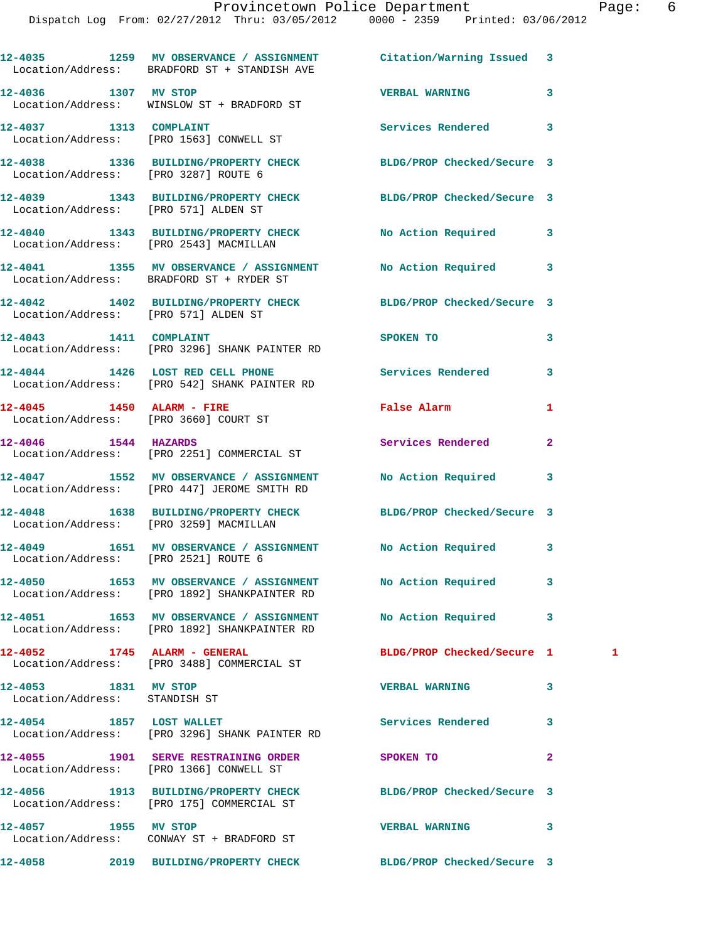|                                                       | 12-4035 1259 MV OBSERVANCE / ASSIGNMENT Citation/Warning Issued 3<br>Location/Address: BRADFORD ST + STANDISH AVE |                            |              |  |
|-------------------------------------------------------|-------------------------------------------------------------------------------------------------------------------|----------------------------|--------------|--|
| 12-4036 1307 MV STOP                                  | Location/Address: WINSLOW ST + BRADFORD ST                                                                        | <b>VERBAL WARNING</b>      | 3            |  |
| 12-4037 1313 COMPLAINT                                | Location/Address: [PRO 1563] CONWELL ST                                                                           | Services Rendered          | 3            |  |
| Location/Address: [PRO 3287] ROUTE 6                  | 12-4038 1336 BUILDING/PROPERTY CHECK BLDG/PROP Checked/Secure 3                                                   |                            |              |  |
| Location/Address: [PRO 571] ALDEN ST                  | 12-4039 1343 BUILDING/PROPERTY CHECK BLDG/PROP Checked/Secure 3                                                   |                            |              |  |
|                                                       | 12-4040 1343 BUILDING/PROPERTY CHECK No Action Required<br>Location/Address: [PRO 2543] MACMILLAN                 |                            | 3            |  |
|                                                       | 12-4041 1355 MV OBSERVANCE / ASSIGNMENT No Action Required<br>Location/Address: BRADFORD ST + RYDER ST            |                            | 3            |  |
| Location/Address: [PRO 571] ALDEN ST                  | 12-4042 1402 BUILDING/PROPERTY CHECK BLDG/PROP Checked/Secure 3                                                   |                            |              |  |
| 12-4043 1411 COMPLAINT                                | Location/Address: [PRO 3296] SHANK PAINTER RD                                                                     | SPOKEN TO                  | 3            |  |
|                                                       | 12-4044 1426 LOST RED CELL PHONE 5ervices Rendered<br>Location/Address: [PRO 542] SHANK PAINTER RD                |                            | 3            |  |
| 12-4045   1450   ALARM - FIRE                         | Location/Address: [PRO 3660] COURT ST                                                                             | False Alarm                | 1            |  |
|                                                       | $12-4046$ 1544 HAZARDS<br>Location/Address: [PRO 2251] COMMERCIAL ST                                              | Services Rendered          | $\mathbf{2}$ |  |
|                                                       | 12-4047 1552 MV OBSERVANCE / ASSIGNMENT No Action Required<br>Location/Address: [PRO 447] JEROME SMITH RD         |                            | 3            |  |
|                                                       | 12-4048 1638 BUILDING/PROPERTY CHECK BLDG/PROP Checked/Secure 3<br>Location/Address: [PRO 3259] MACMILLAN         |                            |              |  |
| Location/Address: [PRO 2521] ROUTE 6                  | 12-4049 1651 MV OBSERVANCE / ASSIGNMENT No Action Required                                                        |                            | 3            |  |
|                                                       | 12-4050 1653 MV OBSERVANCE / ASSIGNMENT<br>Location/Address: [PRO 1892] SHANKPAINTER RD                           | No Action Required         | 3            |  |
|                                                       | 12-4051 1653 MV OBSERVANCE / ASSIGNMENT<br>Location/Address: [PRO 1892] SHANKPAINTER RD                           | No Action Required         | 3            |  |
|                                                       | 12-4052 1745 ALARM - GENERAL<br>Location/Address: [PRO 3488] COMMERCIAL ST                                        | BLDG/PROP Checked/Secure 1 | 1            |  |
| 12-4053 1831 MV STOP<br>Location/Address: STANDISH ST |                                                                                                                   | <b>VERBAL WARNING</b>      | 3            |  |
| 12-4054 1857 LOST WALLET                              | Location/Address: [PRO 3296] SHANK PAINTER RD                                                                     | Services Rendered          | 3            |  |
|                                                       | 12-4055 1901 SERVE RESTRAINING ORDER<br>Location/Address: [PRO 1366] CONWELL ST                                   | SPOKEN TO                  | $\mathbf{2}$ |  |
|                                                       | 12-4056 1913 BUILDING/PROPERTY CHECK<br>Location/Address: [PRO 175] COMMERCIAL ST                                 | BLDG/PROP Checked/Secure 3 |              |  |
| 12-4057 1955 MV STOP                                  | Location/Address: CONWAY ST + BRADFORD ST                                                                         | <b>VERBAL WARNING</b>      | 3            |  |
| 12-4058                                               | 2019 BUILDING/PROPERTY CHECK                                                                                      | BLDG/PROP Checked/Secure 3 |              |  |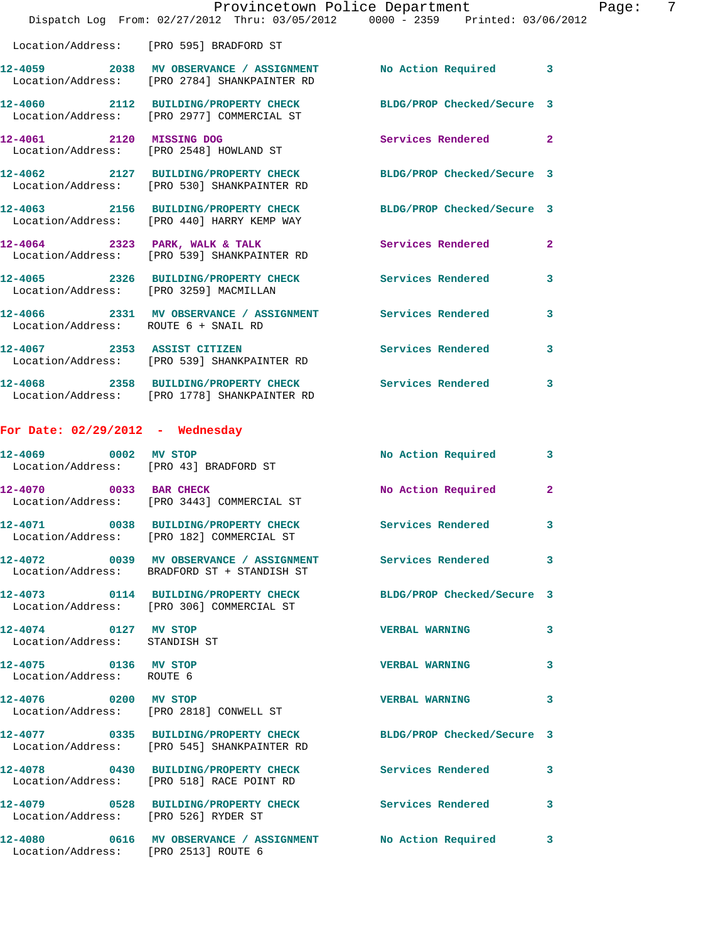|                                                       |                                                                                                                | Provincetown Police Department | 7<br>Page:   |
|-------------------------------------------------------|----------------------------------------------------------------------------------------------------------------|--------------------------------|--------------|
|                                                       | Dispatch Log From: $02/27/2012$ Thru: $03/05/2012$ 0000 - 2359 Printed: 03/06/2012                             |                                |              |
|                                                       | Location/Address: [PRO 595] BRADFORD ST                                                                        |                                |              |
|                                                       | 12-4059 2038 MV OBSERVANCE / ASSIGNMENT No Action Required 3<br>Location/Address: [PRO 2784] SHANKPAINTER RD   |                                |              |
|                                                       | 12-4060 2112 BUILDING/PROPERTY CHECK BLDG/PROP Checked/Secure 3<br>Location/Address: [PRO 2977] COMMERCIAL ST  |                                |              |
|                                                       | 12-4061 2120 MISSING DOG<br>Location/Address: [PRO 2548] HOWLAND ST                                            | Services Rendered 2            |              |
|                                                       | 12-4062 2127 BUILDING/PROPERTY CHECK BLDG/PROP Checked/Secure 3<br>Location/Address: [PRO 530] SHANKPAINTER RD |                                |              |
|                                                       | 12-4063 2156 BUILDING/PROPERTY CHECK BLDG/PROP Checked/Secure 3<br>Location/Address: [PRO 440] HARRY KEMP WAY  |                                |              |
|                                                       | 12-4064 2323 PARK, WALK & TALK 3 Services Rendered 2<br>Location/Address: [PRO 539] SHANKPAINTER RD            |                                |              |
|                                                       | 12-4065 2326 BUILDING/PROPERTY CHECK Services Rendered<br>Location/Address: [PRO 3259] MACMILLAN               |                                | $\mathbf{3}$ |
|                                                       | 12-4066 2331 MV OBSERVANCE / ASSIGNMENT Services Rendered 3<br>Location/Address: ROUTE 6 + SNAIL RD            |                                |              |
|                                                       | 12-4067 2353 ASSIST CITIZEN<br>Location/Address: [PRO 539] SHANKPAINTER RD                                     | Services Rendered 3            |              |
|                                                       | 12-4068 2358 BUILDING/PROPERTY CHECK Services Rendered<br>Location/Address: [PRO 1778] SHANKPAINTER RD         |                                | $\mathbf{3}$ |
| For Date: $02/29/2012$ - Wednesday                    |                                                                                                                |                                |              |
|                                                       | $12-4069$ 0002 MV STOP<br>Location/Address: [PRO 43] BRADFORD ST                                               | No Action Required 3           |              |
|                                                       | 12-4070 0033 BAR CHECK<br>Location/Address: [PRO 3443] COMMERCIAL ST                                           | No Action Required 2           |              |
|                                                       | 12-4071 0038 BUILDING/PROPERTY CHECK<br>Location/Address: [PRO 182] COMMERCIAL ST                              | <b>Services Rendered</b>       |              |
|                                                       | 12-4072 0039 MV OBSERVANCE / ASSIGNMENT Services Rendered 3<br>Location/Address: BRADFORD ST + STANDISH ST     |                                |              |
|                                                       | 12-4073 0114 BUILDING/PROPERTY CHECK BLDG/PROP Checked/Secure 3<br>Location/Address: [PRO 306] COMMERCIAL ST   |                                |              |
| 12-4074 0127 MV STOP<br>Location/Address: STANDISH ST |                                                                                                                | <b>VERBAL WARNING</b>          | 3            |
| 12-4075 0136 MV STOP<br>Location/Address: ROUTE 6     |                                                                                                                | <b>VERBAL WARNING</b>          | 3            |
|                                                       | 12-4076 0200 MV STOP<br>Location/Address: [PRO 2818] CONWELL ST                                                | <b>VERBAL WARNING</b>          | 3            |
|                                                       | 12-4077 0335 BUILDING/PROPERTY CHECK BLDG/PROP Checked/Secure 3<br>Location/Address: [PRO 545] SHANKPAINTER RD |                                |              |
|                                                       | 12-4078 0430 BUILDING/PROPERTY CHECK Services Rendered 3<br>Location/Address: [PRO 518] RACE POINT RD          |                                |              |
| Location/Address: [PRO 526] RYDER ST                  | 12-4079 0528 BUILDING/PROPERTY CHECK Services Rendered                                                         |                                | 3            |
|                                                       | 12-4080 0616 MV OBSERVANCE / ASSIGNMENT No Action Required 3                                                   |                                |              |

Location/Address: [PRO 2513] ROUTE 6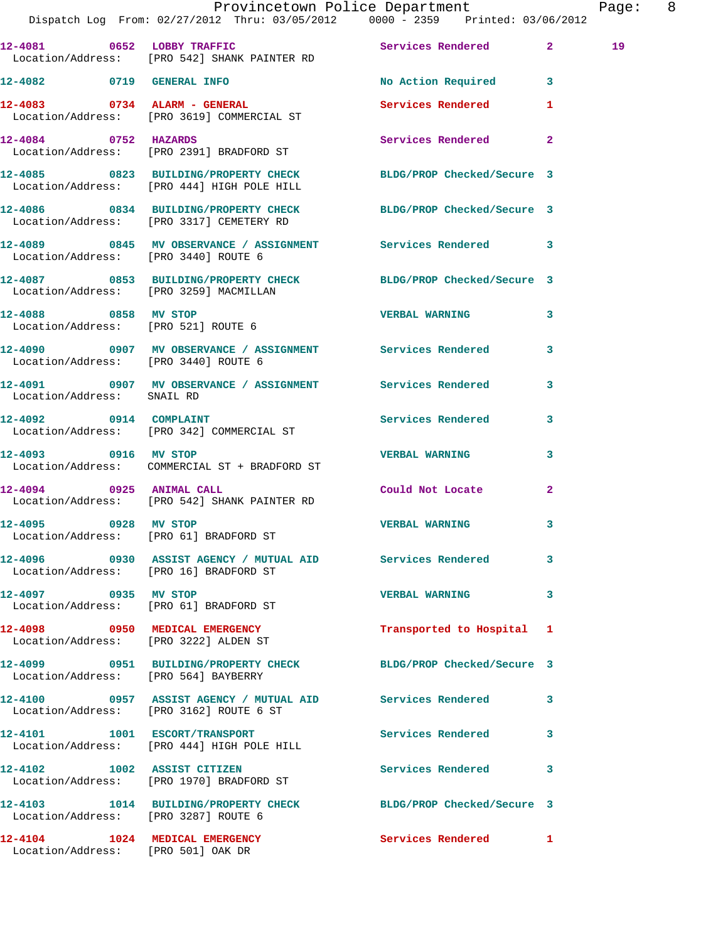|                                                                | Dispatch Log From: 02/27/2012 Thru: 03/05/2012 0000 - 2359 Printed: 03/06/2012                                | Provincetown Police Department |              | Page: 8 |  |
|----------------------------------------------------------------|---------------------------------------------------------------------------------------------------------------|--------------------------------|--------------|---------|--|
|                                                                | 12-4081 0652 LOBBY TRAFFIC<br>Location/Address: [PRO 542] SHANK PAINTER RD                                    | Services Rendered 2            |              | 19      |  |
|                                                                | 12-4082 0719 GENERAL INFO                                                                                     | No Action Required 3           |              |         |  |
|                                                                | 12-4083 0734 ALARM - GENERAL<br>Location/Address: [PRO 3619] COMMERCIAL ST                                    | Services Rendered              | 1            |         |  |
| 12-4084 0752 HAZARDS                                           | Location/Address: [PRO 2391] BRADFORD ST                                                                      | Services Rendered 2            |              |         |  |
|                                                                | 12-4085 0823 BUILDING/PROPERTY CHECK BLDG/PROP Checked/Secure 3<br>Location/Address: [PRO 444] HIGH POLE HILL |                                |              |         |  |
|                                                                | 12-4086 0834 BUILDING/PROPERTY CHECK BLDG/PROP Checked/Secure 3<br>Location/Address: [PRO 3317] CEMETERY RD   |                                |              |         |  |
|                                                                | 12-4089 0845 MV OBSERVANCE / ASSIGNMENT Services Rendered 3<br>Location/Address: [PRO 3440] ROUTE 6           |                                |              |         |  |
| Location/Address: [PRO 3259] MACMILLAN                         | 12-4087 0853 BUILDING/PROPERTY CHECK BLDG/PROP Checked/Secure 3                                               |                                |              |         |  |
| 12-4088 0858 MV STOP                                           | Location/Address: [PRO 521] ROUTE 6                                                                           | <b>VERBAL WARNING</b>          | 3            |         |  |
| Location/Address: [PRO 3440] ROUTE 6                           | 12-4090 0907 MV OBSERVANCE / ASSIGNMENT Services Rendered                                                     |                                | 3            |         |  |
| Location/Address: SNAIL RD                                     | 12-4091 0907 MV OBSERVANCE / ASSIGNMENT Services Rendered 3                                                   |                                |              |         |  |
|                                                                | 12-4092 0914 COMPLAINT<br>Location/Address: [PRO 342] COMMERCIAL ST                                           | Services Rendered              | 3            |         |  |
| 12-4093 0916 MV STOP                                           | Location/Address: COMMERCIAL ST + BRADFORD ST                                                                 | <b>VERBAL WARNING</b>          | $\mathbf{3}$ |         |  |
| 12-4094 0925 ANIMAL CALL                                       | Location/Address: [PRO 542] SHANK PAINTER RD                                                                  | Could Not Locate               | $\mathbf{2}$ |         |  |
| 0928 MV STOP<br>12-4095                                        | Location/Address: [PRO 61] BRADFORD ST                                                                        | <b>VERBAL WARNING</b>          | 3            |         |  |
| Location/Address: [PRO 16] BRADFORD ST                         | 12-4096 0930 ASSIST AGENCY / MUTUAL AID Services Rendered 3                                                   |                                |              |         |  |
| 12-4097 0935 MV STOP<br>Location/Address: [PRO 61] BRADFORD ST |                                                                                                               | VERBAL WARNING 3               |              |         |  |
| Location/Address: [PRO 3222] ALDEN ST                          | 12-4098 0950 MEDICAL EMERGENCY                                                                                | Transported to Hospital 1      |              |         |  |
| Location/Address: [PRO 564] BAYBERRY                           | 12-4099 0951 BUILDING/PROPERTY CHECK BLDG/PROP Checked/Secure 3                                               |                                |              |         |  |
|                                                                | 12-4100 0957 ASSIST AGENCY / MUTUAL AID Services Rendered 3<br>Location/Address: [PRO 3162] ROUTE 6 ST        |                                |              |         |  |
|                                                                | 12-4101 1001 ESCORT/TRANSPORT<br>Location/Address: [PRO 444] HIGH POLE HILL                                   | Services Rendered 3            |              |         |  |
|                                                                | 12-4102 1002 ASSIST CITIZEN<br>Location/Address: [PRO 1970] BRADFORD ST                                       | Services Rendered 3            |              |         |  |
| Location/Address: [PRO 3287] ROUTE 6                           | 12-4103 1014 BUILDING/PROPERTY CHECK BLDG/PROP Checked/Secure 3                                               |                                |              |         |  |
| Location/Address: [PRO 501] OAK DR                             | 12-4104 1024 MEDICAL EMERGENCY                                                                                | Services Rendered 1            |              |         |  |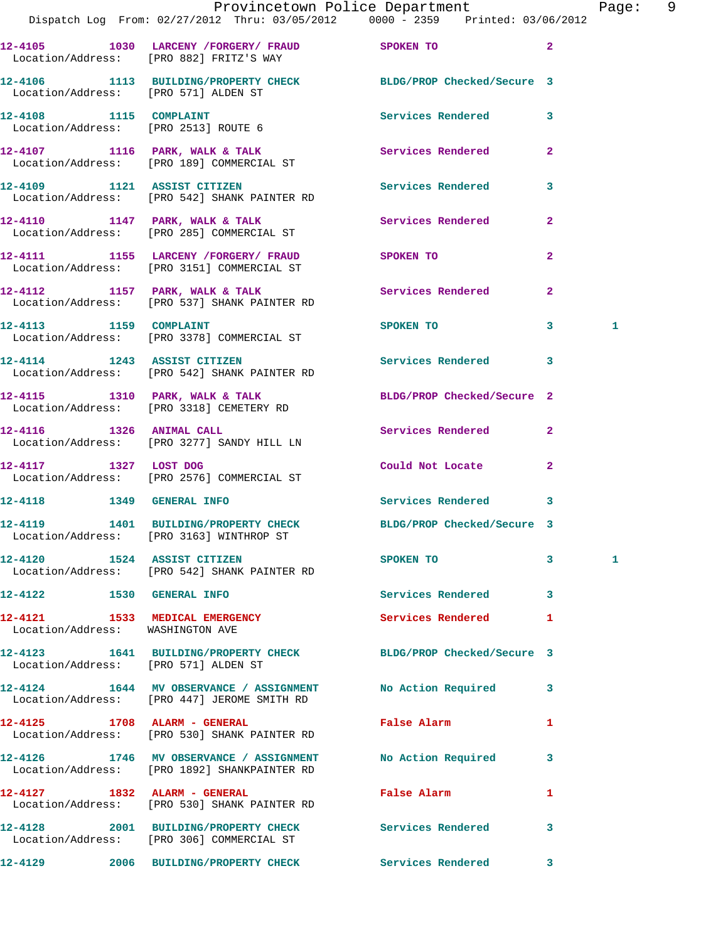|                                      |                                                                                                | Provincetown Police Department<br>Dispatch Log From: 02/27/2012 Thru: 03/05/2012 0000 - 2359 Printed: 03/06/2012 | Page: 9                |  |
|--------------------------------------|------------------------------------------------------------------------------------------------|------------------------------------------------------------------------------------------------------------------|------------------------|--|
|                                      |                                                                                                |                                                                                                                  |                        |  |
|                                      |                                                                                                | 12-4105 1030 LARCENY /FORGERY / FRAUD SPOKEN TO<br>Location/Address: [PRO 882] FRITZ'S WAY<br>$\overline{2}$     |                        |  |
|                                      |                                                                                                | 12-4106 1113 BUILDING/PROPERTY CHECK BLDG/PROP Checked/Secure 3<br>Location/Address: [PRO 571] ALDEN ST          |                        |  |
|                                      | 12-4108 1115 COMPLAINT<br>Location/Address: [PRO 2513] ROUTE 6                                 | Services Rendered 3                                                                                              |                        |  |
|                                      | 12-4107 1116 PARK, WALK & TALK<br>Location/Address: [PRO 189] COMMERCIAL ST                    | Services Rendered 2                                                                                              |                        |  |
|                                      | 12-4109 1121 ASSIST CITIZEN<br>Location/Address: [PRO 542] SHANK PAINTER RD                    | Services Rendered 3                                                                                              |                        |  |
|                                      | Location/Address: [PRO 285] COMMERCIAL ST                                                      | 12-4110 1147 PARK, WALK & TALK Services Rendered 2                                                               |                        |  |
|                                      | 12-4111 1155 LARCENY / FORGERY / FRAUD SPOKEN TO<br>Location/Address: [PRO 3151] COMMERCIAL ST | $\overline{2}$                                                                                                   |                        |  |
|                                      | Location/Address: [PRO 537] SHANK PAINTER RD                                                   | 12-4112 1157 PARK, WALK & TALK 6 Services Rendered 2                                                             |                        |  |
| 12-4113 1159 COMPLAINT               | Location/Address: [PRO 3378] COMMERCIAL ST                                                     | SPOKEN TO 3                                                                                                      | 1                      |  |
|                                      | 12-4114 1243 ASSIST CITIZEN<br>Location/Address: [PRO 542] SHANK PAINTER RD                    | Services Rendered 3                                                                                              |                        |  |
|                                      |                                                                                                | 12-4115 1310 PARK, WALK & TALK BLDG/PROP Checked/Secure 2<br>Location/Address: [PRO 3318] CEMETERY RD            |                        |  |
|                                      | 12-4116 1326 ANIMAL CALL<br>Location/Address: [PRO 3277] SANDY HILL LN                         | Services Rendered 2                                                                                              |                        |  |
| 12-4117 1327 LOST DOG                | Location/Address: [PRO 2576] COMMERCIAL ST                                                     | Could Not Locate<br>$\mathbf{2}$                                                                                 |                        |  |
| 12-4118   1349   GENERAL INFO        |                                                                                                | Services Rendered 3                                                                                              |                        |  |
| 12-4119                              | Location/Address: [PRO 3163] WINTHROP ST                                                       | 1401 BUILDING/PROPERTY CHECK BLDG/PROP Checked/Secure 3                                                          |                        |  |
|                                      | 12-4120 1524 ASSIST CITIZEN<br>Location/Address: [PRO 542] SHANK PAINTER RD                    | SPOKEN TO AND TO A STATE OF THE STATE OF THE STATE OF THE STATE OF THE STATE OF THE STATE OF THE STATE OF THE    | 1<br>$3 \sim 10^{-10}$ |  |
| 12-4122 1530 GENERAL INFO            |                                                                                                | Services Rendered 3                                                                                              |                        |  |
| Location/Address: WASHINGTON AVE     | 12-4121 1533 MEDICAL EMERGENCY                                                                 | <b>Services Rendered</b><br>1                                                                                    |                        |  |
| Location/Address: [PRO 571] ALDEN ST |                                                                                                | 12-4123 1641 BUILDING/PROPERTY CHECK BLDG/PROP Checked/Secure 3                                                  |                        |  |
|                                      | Location/Address: [PRO 447] JEROME SMITH RD                                                    | 12-4124 1644 MV OBSERVANCE / ASSIGNMENT No Action Required 3                                                     |                        |  |
|                                      | 12-4125 1708 ALARM - GENERAL<br>Location/Address: [PRO 530] SHANK PAINTER RD                   | False Alarm <b>Exercise Service Service</b><br>ı                                                                 |                        |  |
|                                      | Location/Address: [PRO 1892] SHANKPAINTER RD                                                   | 12-4126 1746 MV OBSERVANCE / ASSIGNMENT No Action Required<br>-3                                                 |                        |  |
|                                      | 12-4127 1832 ALARM - GENERAL<br>Location/Address: [PRO 530] SHANK PAINTER RD                   | False Alarm <b>Exercise Service Service</b><br>1                                                                 |                        |  |
|                                      | Location/Address: [PRO 306] COMMERCIAL ST                                                      | 12-4128 2001 BUILDING/PROPERTY CHECK Services Rendered<br>3                                                      |                        |  |
| 12-4129                              |                                                                                                | 2006 BUILDING/PROPERTY CHECK Services Rendered 3                                                                 |                        |  |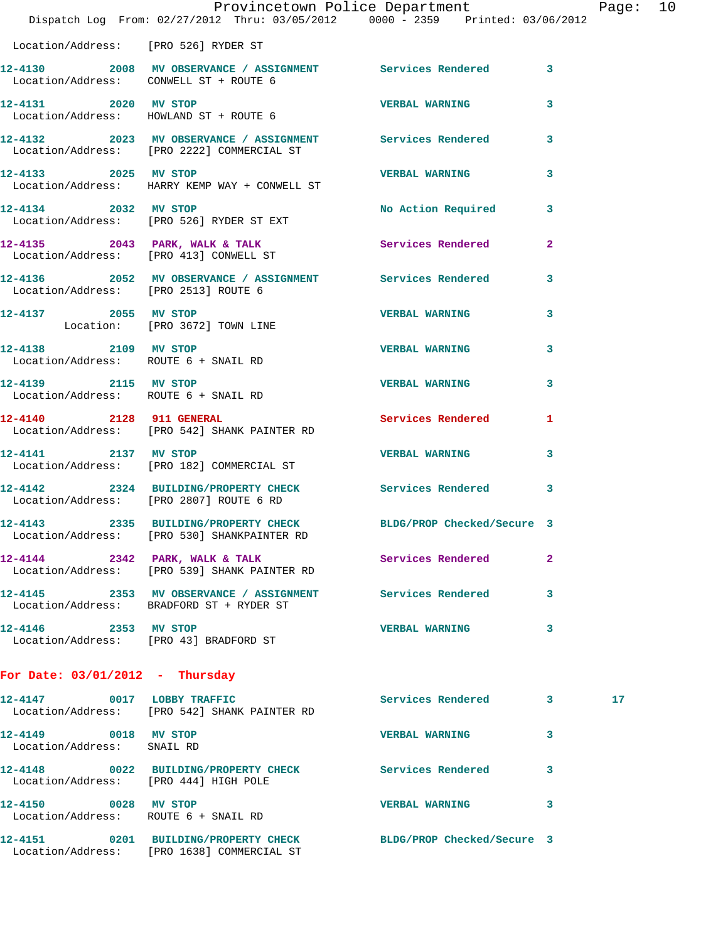|                                                    | Dispatch Log From: 02/27/2012 Thru: 03/05/2012 0000 - 2359 Printed: 03/06/2012                                 | Provincetown Police Department Page: 10 |              |    |  |
|----------------------------------------------------|----------------------------------------------------------------------------------------------------------------|-----------------------------------------|--------------|----|--|
| Location/Address: [PRO 526] RYDER ST               |                                                                                                                |                                         |              |    |  |
| Location/Address: CONWELL ST + ROUTE 6             | 12-4130 2008 MV OBSERVANCE / ASSIGNMENT Services Rendered 3                                                    |                                         |              |    |  |
|                                                    | 12-4131 2020 MV STOP<br>Location/Address: HOWLAND ST + ROUTE 6                                                 | VERBAL WARNING 3                        |              |    |  |
|                                                    | 12-4132 2023 MV OBSERVANCE / ASSIGNMENT Services Rendered 3<br>Location/Address: [PRO 2222] COMMERCIAL ST      |                                         |              |    |  |
| 12-4133 2025 MV STOP                               | Location/Address: HARRY KEMP WAY + CONWELL ST                                                                  | <b>VERBAL WARNING</b>                   | 3            |    |  |
| 12-4134 2032 MV STOP                               | Location/Address: [PRO 526] RYDER ST EXT                                                                       | No Action Required 3                    |              |    |  |
|                                                    | 12-4135 2043 PARK, WALK & TALK Services Rendered<br>Location/Address: [PRO 413] CONWELL ST                     |                                         | $\mathbf{2}$ |    |  |
| Location/Address: [PRO 2513] ROUTE 6               | 12-4136 2052 MV OBSERVANCE / ASSIGNMENT Services Rendered 3                                                    |                                         |              |    |  |
|                                                    | 12-4137<br>Location: [PRO 3672] TOWN LINE                                                                      | <b>VERBAL WARNING</b>                   | 3            |    |  |
| 12-4138 2109 MV STOP                               | Location/Address: ROUTE 6 + SNAIL RD                                                                           | <b>VERBAL WARNING</b>                   | 3            |    |  |
| 12-4139 2115 MV STOP                               | Location/Address: ROUTE 6 + SNAIL RD                                                                           | <b>VERBAL WARNING</b>                   | 3            |    |  |
|                                                    | 12-4140 2128 911 GENERAL<br>Location/Address: [PRO 542] SHANK PAINTER RD                                       | Services Rendered                       | $\mathbf{1}$ |    |  |
|                                                    | 12-4141 2137 MV STOP<br>Location/Address: [PRO 182] COMMERCIAL ST                                              | VERBAL WARNING 3                        |              |    |  |
|                                                    | 12-4142 2324 BUILDING/PROPERTY CHECK Services Rendered 3<br>Location/Address: [PRO 2807] ROUTE 6 RD            |                                         |              |    |  |
|                                                    | 12-4143 2335 BUILDING/PROPERTY CHECK BLDG/PROP Checked/Secure 3<br>Location/Address: [PRO 530] SHANKPAINTER RD |                                         |              |    |  |
|                                                    | 12-4144 2342 PARK, WALK & TALK Services Rendered<br>Location/Address: [PRO 539] SHANK PAINTER RD               |                                         | $\mathbf{2}$ |    |  |
|                                                    | 12-4145 2353 MV OBSERVANCE / ASSIGNMENT Services Rendered<br>Location/Address: BRADFORD ST + RYDER ST          |                                         | 3            |    |  |
| 12-4146 2353 MV STOP                               | Location/Address: [PRO 43] BRADFORD ST                                                                         | VERBAL WARNING 3                        |              |    |  |
| For Date: $03/01/2012$ - Thursday                  |                                                                                                                |                                         |              |    |  |
|                                                    | 12-4147 0017 LOBBY TRAFFIC<br>Location/Address: [PRO 542] SHANK PAINTER RD                                     | Services Rendered 3                     |              | 17 |  |
| 12-4149 0018 MV STOP<br>Location/Address: SNAIL RD |                                                                                                                | <b>VERBAL WARNING</b>                   | 3            |    |  |
| Location/Address: [PRO 444] HIGH POLE              | 12-4148 0022 BUILDING/PROPERTY CHECK Services Rendered                                                         |                                         | 3            |    |  |
| 12-4150 0028 MV STOP                               | Location/Address: ROUTE 6 + SNAIL RD                                                                           | VERBAL WARNING 3                        |              |    |  |
|                                                    | 12-4151 0201 BUILDING/PROPERTY CHECK BLDG/PROP Checked/Secure 3                                                |                                         |              |    |  |

Location/Address: [PRO 1638] COMMERCIAL ST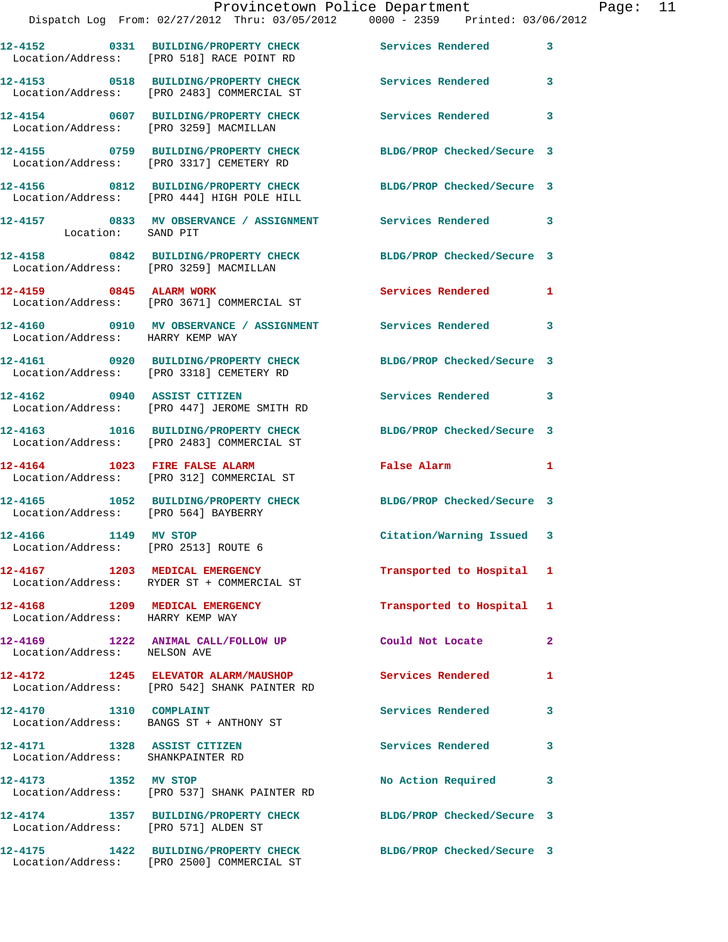|                                                                    | Provincetown Police Department<br>Dispatch Log From: 02/27/2012 Thru: 03/05/2012 0000 - 2359 Printed: 03/06/2012 |                            |              |
|--------------------------------------------------------------------|------------------------------------------------------------------------------------------------------------------|----------------------------|--------------|
|                                                                    | 12-4152 0331 BUILDING/PROPERTY CHECK Services Rendered<br>Location/Address: [PRO 518] RACE POINT RD              |                            | 3            |
|                                                                    | 12-4153 0518 BUILDING/PROPERTY CHECK Services Rendered<br>Location/Address: [PRO 2483] COMMERCIAL ST             |                            | 3            |
| Location/Address: [PRO 3259] MACMILLAN                             | 12-4154 0607 BUILDING/PROPERTY CHECK Services Rendered                                                           |                            | 3            |
|                                                                    | 12-4155 0759 BUILDING/PROPERTY CHECK BLDG/PROP Checked/Secure 3<br>Location/Address: [PRO 3317] CEMETERY RD      |                            |              |
|                                                                    | 12-4156 0812 BUILDING/PROPERTY CHECK BLDG/PROP Checked/Secure 3<br>Location/Address: [PRO 444] HIGH POLE HILL    |                            |              |
| Location: SAND PIT                                                 | 12-4157 6833 MV OBSERVANCE / ASSIGNMENT Services Rendered                                                        |                            | 3            |
|                                                                    | 12-4158 0842 BUILDING/PROPERTY CHECK<br>Location/Address: [PRO 3259] MACMILLAN                                   | BLDG/PROP Checked/Secure 3 |              |
| 12-4159 0845 ALARM WORK                                            | Location/Address: [PRO 3671] COMMERCIAL ST                                                                       | Services Rendered          | 1            |
| Location/Address: HARRY KEMP WAY                                   | 12-4160 0910 MV OBSERVANCE / ASSIGNMENT Services Rendered                                                        |                            | 3            |
|                                                                    | 12-4161 0920 BUILDING/PROPERTY CHECK BLDG/PROP Checked/Secure 3<br>Location/Address: [PRO 3318] CEMETERY RD      |                            |              |
|                                                                    | 12-4162 0940 ASSIST CITIZEN<br>Location/Address: [PRO 447] JEROME SMITH RD                                       | <b>Services Rendered</b>   | 3            |
|                                                                    | 12-4163 1016 BUILDING/PROPERTY CHECK BLDG/PROP Checked/Secure 3<br>Location/Address: [PRO 2483] COMMERCIAL ST    |                            |              |
|                                                                    | 12-4164 1023 FIRE FALSE ALARM<br>Location/Address: [PRO 312] COMMERCIAL ST                                       | False Alarm                | 1            |
| Location/Address: [PRO 564] BAYBERRY                               | 12-4165 1052 BUILDING/PROPERTY CHECK BLDG/PROP Checked/Secure 3                                                  |                            |              |
| 12-4166 1149 MV STOP<br>Location/Address: [PRO 2513] ROUTE 6       |                                                                                                                  | Citation/Warning Issued    |              |
|                                                                    | 12-4167 1203 MEDICAL EMERGENCY<br>Location/Address: RYDER ST + COMMERCIAL ST                                     | Transported to Hospital    | 1            |
| 12-4168 1209 MEDICAL EMERGENCY<br>Location/Address: HARRY KEMP WAY |                                                                                                                  | Transported to Hospital    | 1            |
| Location/Address: NELSON AVE                                       | 12-4169 1222 ANIMAL CALL/FOLLOW UP                                                                               | Could Not Locate           | $\mathbf{2}$ |
|                                                                    | 12-4172 1245 ELEVATOR ALARM/MAUSHOP<br>Location/Address: [PRO 542] SHANK PAINTER RD                              | Services Rendered          | 1            |
| 12-4170   1310   COMPLAINT                                         | Location/Address: BANGS ST + ANTHONY ST                                                                          | Services Rendered          | 3.           |
| 12-4171 1328 ASSIST CITIZEN<br>Location/Address: SHANKPAINTER RD   |                                                                                                                  | <b>Services Rendered</b>   | 3            |
| 12-4173 1352 MV STOP                                               | Location/Address: [PRO 537] SHANK PAINTER RD                                                                     | No Action Required         | 3            |
| Location/Address: [PRO 571] ALDEN ST                               | 12-4174 1357 BUILDING/PROPERTY CHECK                                                                             | BLDG/PROP Checked/Secure 3 |              |

**12-4175 1422 BUILDING/PROPERTY CHECK BLDG/PROP Checked/Secure 3** 

Location/Address: [PRO 2500] COMMERCIAL ST

Page: 11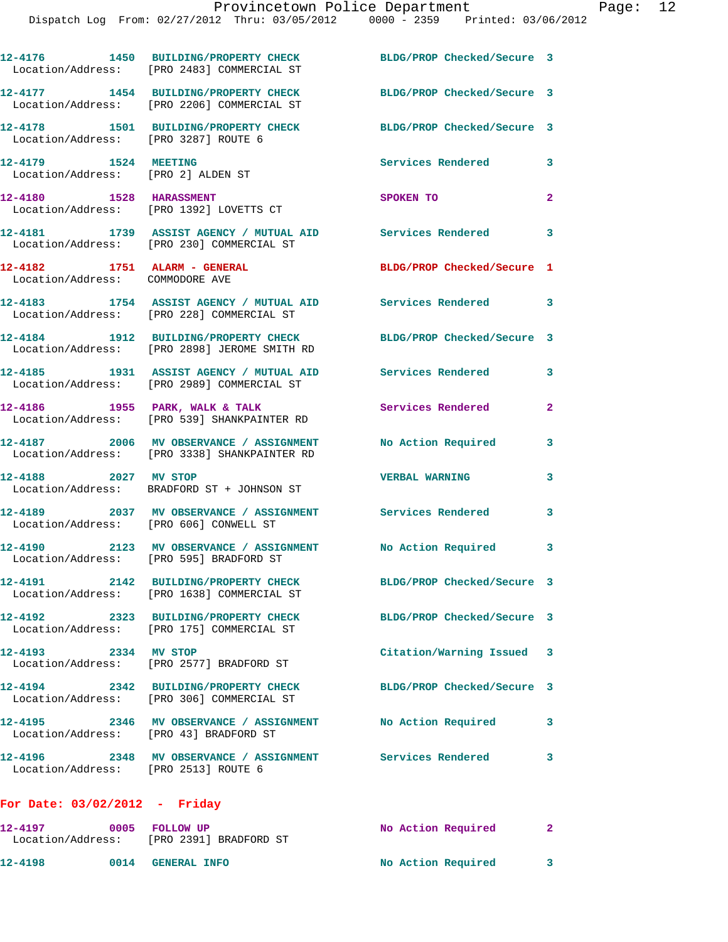|                                                                 | 12-4176 1450 BUILDING/PROPERTY CHECK<br>Location/Address: [PRO 2483] COMMERCIAL ST                       | BLDG/PROP Checked/Secure 3 |                            |
|-----------------------------------------------------------------|----------------------------------------------------------------------------------------------------------|----------------------------|----------------------------|
|                                                                 | 12-4177 1454 BUILDING/PROPERTY CHECK<br>Location/Address: [PRO 2206] COMMERCIAL ST                       | BLDG/PROP Checked/Secure 3 |                            |
| Location/Address: [PRO 3287] ROUTE 6                            | 12-4178 1501 BUILDING/PROPERTY CHECK                                                                     | BLDG/PROP Checked/Secure 3 |                            |
| 12-4179 1524 MEETING<br>Location/Address: [PRO 2] ALDEN ST      |                                                                                                          | Services Rendered 3        |                            |
| 12-4180 1528 HARASSMENT                                         | Location/Address: [PRO 1392] LOVETTS CT                                                                  | SPOKEN TO                  | $\mathbf{2}$               |
|                                                                 | 12-4181 1739 ASSIST AGENCY / MUTUAL AID Services Rendered 3<br>Location/Address: [PRO 230] COMMERCIAL ST |                            |                            |
| 12-4182 1751 ALARM - GENERAL<br>Location/Address: COMMODORE AVE |                                                                                                          | BLDG/PROP Checked/Secure 1 |                            |
|                                                                 | 12-4183 1754 ASSIST AGENCY / MUTUAL AID<br>Location/Address: [PRO 228] COMMERCIAL ST                     | <b>Services Rendered</b>   | $\overline{\phantom{a}}$ 3 |
|                                                                 | 12-4184 1912 BUILDING/PROPERTY CHECK<br>Location/Address: [PRO 2898] JEROME SMITH RD                     | BLDG/PROP Checked/Secure 3 |                            |
|                                                                 | 12-4185 1931 ASSIST AGENCY / MUTUAL AID<br>Location/Address: [PRO 2989] COMMERCIAL ST                    | Services Rendered          | 3                          |
|                                                                 | $12-4186$ 1955 PARK, WALK & TALK<br>Location/Address: [PRO 539] SHANKPAINTER RD                          | Services Rendered          | $\mathbf{2}$               |
|                                                                 | 12-4187 2006 MV OBSERVANCE / ASSIGNMENT<br>Location/Address: [PRO 3338] SHANKPAINTER RD                  | No Action Required         | 3                          |
| 12-4188 2027 MV STOP                                            | Location/Address: BRADFORD ST + JOHNSON ST                                                               | <b>VERBAL WARNING</b>      | 3                          |
| Location/Address: [PRO 606] CONWELL ST                          | 12-4189 2037 MV OBSERVANCE / ASSIGNMENT Services Rendered                                                |                            | 3                          |
|                                                                 | 12-4190 2123 MV OBSERVANCE / ASSIGNMENT No Action Required 3<br>Location/Address: [PRO 595] BRADFORD ST  |                            |                            |
| 12-4191                                                         | 2142 BUILDING/PROPERTY CHECK<br>Location/Address: [PRO 1638] COMMERCIAL ST                               | BLDG/PROP Checked/Secure 3 |                            |
| 12-4192                                                         | 2323 BUILDING/PROPERTY CHECK<br>Location/Address: [PRO 175] COMMERCIAL ST                                | BLDG/PROP Checked/Secure 3 |                            |
| 12-4193 2334 MV STOP                                            | Location/Address: [PRO 2577] BRADFORD ST                                                                 | Citation/Warning Issued 3  |                            |
| 12-4194                                                         | 2342 BUILDING/PROPERTY CHECK<br>Location/Address: [PRO 306] COMMERCIAL ST                                | BLDG/PROP Checked/Secure 3 |                            |
| Location/Address: [PRO 43] BRADFORD ST                          | 12-4195 2346 MV OBSERVANCE / ASSIGNMENT                                                                  | No Action Required         | 3                          |
| Location/Address: [PRO 2513] ROUTE 6                            | 12-4196 2348 MV OBSERVANCE / ASSIGNMENT Services Rendered                                                |                            | $\overline{\phantom{a}}$ 3 |
| For Date: $03/02/2012$ - Friday                                 |                                                                                                          |                            |                            |

**12-4197 0005 FOLLOW UP No Action Required 2**  Location/Address: [PRO 2391] BRADFORD ST **12-4198 0014 GENERAL INFO No Action Required 3**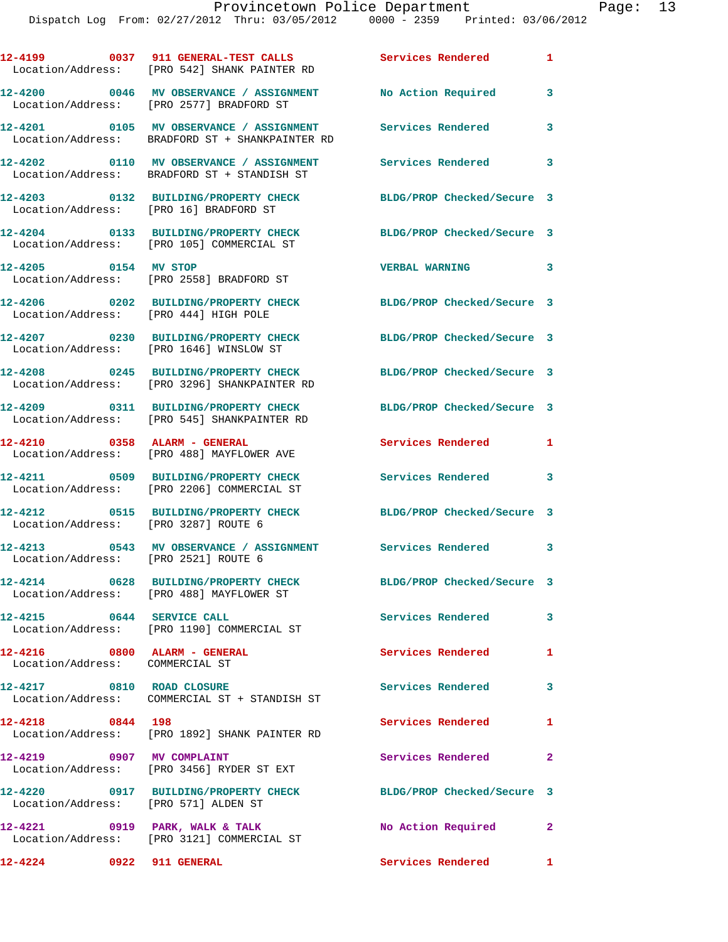|                                                                 | 12-4199 0037 911 GENERAL-TEST CALLS<br>Location/Address: [PRO 542] SHANK PAINTER RD        | Services Rendered          | 1            |
|-----------------------------------------------------------------|--------------------------------------------------------------------------------------------|----------------------------|--------------|
|                                                                 | 12-4200 0046 MV OBSERVANCE / ASSIGNMENT<br>Location/Address: [PRO 2577] BRADFORD ST        | No Action Required         | 3            |
|                                                                 | 12-4201 0105 MV OBSERVANCE / ASSIGNMENT<br>Location/Address: BRADFORD ST + SHANKPAINTER RD | <b>Services Rendered</b>   | 3            |
|                                                                 | 12-4202 0110 MV OBSERVANCE / ASSIGNMENT<br>Location/Address: BRADFORD ST + STANDISH ST     | Services Rendered          | 3            |
|                                                                 | 12-4203 0132 BUILDING/PROPERTY CHECK<br>Location/Address: [PRO 16] BRADFORD ST             | BLDG/PROP Checked/Secure 3 |              |
|                                                                 | 12-4204 0133 BUILDING/PROPERTY CHECK<br>Location/Address: [PRO 105] COMMERCIAL ST          | BLDG/PROP Checked/Secure 3 |              |
| 12-4205 0154 MV STOP                                            | Location/Address: [PRO 2558] BRADFORD ST                                                   | <b>VERBAL WARNING</b>      | 3            |
| Location/Address: [PRO 444] HIGH POLE                           | 12-4206 0202 BUILDING/PROPERTY CHECK                                                       | BLDG/PROP Checked/Secure 3 |              |
|                                                                 | 12-4207 0230 BUILDING/PROPERTY CHECK<br>Location/Address: [PRO 1646] WINSLOW ST            | BLDG/PROP Checked/Secure 3 |              |
|                                                                 | 12-4208 0245 BUILDING/PROPERTY CHECK<br>Location/Address: [PRO 3296] SHANKPAINTER RD       | BLDG/PROP Checked/Secure 3 |              |
|                                                                 | 12-4209 0311 BUILDING/PROPERTY CHECK<br>Location/Address: [PRO 545] SHANKPAINTER RD        | BLDG/PROP Checked/Secure 3 |              |
|                                                                 | 12-4210 0358 ALARM - GENERAL<br>Location/Address: [PRO 488] MAYFLOWER AVE                  | Services Rendered          | 1            |
|                                                                 | 12-4211 0509 BUILDING/PROPERTY CHECK<br>Location/Address: [PRO 2206] COMMERCIAL ST         | Services Rendered          | 3            |
| Location/Address: [PRO 3287] ROUTE 6                            | 12-4212 0515 BUILDING/PROPERTY CHECK                                                       | BLDG/PROP Checked/Secure 3 |              |
| Location/Address: [PRO 2521] ROUTE 6                            | 12-4213 		 0543 MV OBSERVANCE / ASSIGNMENT Services Rendered                               |                            | 3            |
|                                                                 | 12-4214 0628 BUILDING/PROPERTY CHECK<br>Location/Address: [PRO 488] MAYFLOWER ST           | BLDG/PROP Checked/Secure 3 |              |
| 12-4215 0644 SERVICE CALL                                       | Location/Address: [PRO 1190] COMMERCIAL ST                                                 | Services Rendered          | 3            |
| 12-4216 0800 ALARM - GENERAL<br>Location/Address: COMMERCIAL ST |                                                                                            | Services Rendered          | 1            |
| 12-4217 0810 ROAD CLOSURE                                       | Location/Address: COMMERCIAL ST + STANDISH ST                                              | Services Rendered          | 3            |
| 12-4218 0844 198                                                | Location/Address: [PRO 1892] SHANK PAINTER RD                                              | Services Rendered          | 1            |
| 12-4219 0907 MV COMPLAINT                                       | Location/Address: [PRO 3456] RYDER ST EXT                                                  | Services Rendered          | $\mathbf{2}$ |
| Location/Address: [PRO 571] ALDEN ST                            | 12-4220 0917 BUILDING/PROPERTY CHECK                                                       | BLDG/PROP Checked/Secure 3 |              |
|                                                                 | 12-4221 0919 PARK, WALK & TALK<br>Location/Address: [PRO 3121] COMMERCIAL ST               | No Action Required         | $\mathbf{2}$ |
| 12-4224                                                         | 0922 911 GENERAL                                                                           | Services Rendered          | $\mathbf{1}$ |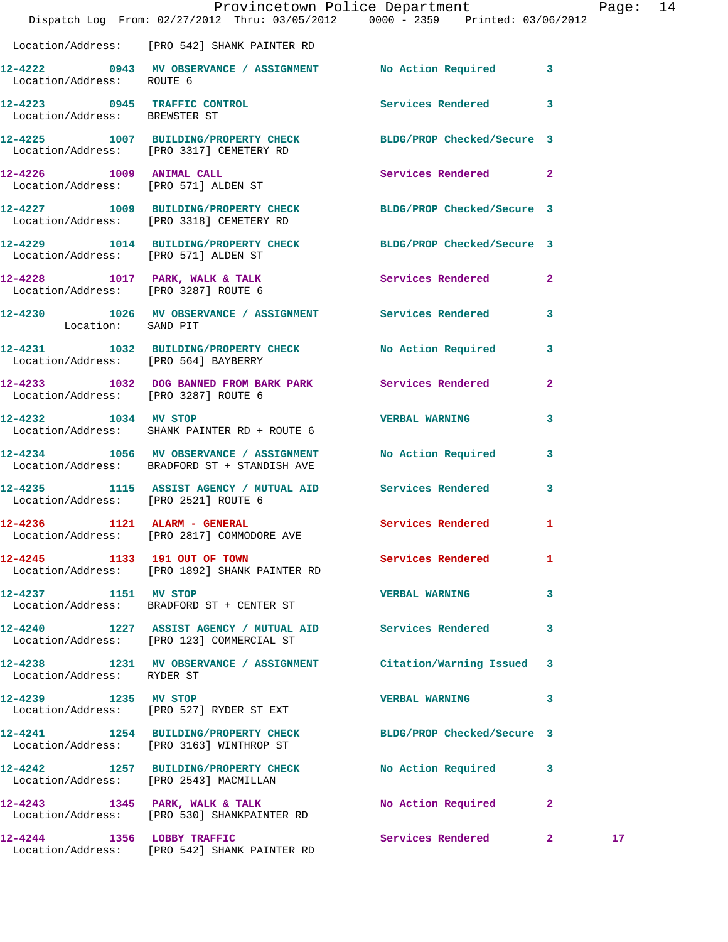|                                      | Dispatch Log From: 02/27/2012 Thru: 03/05/2012 0000 - 2359 Printed: 03/06/2012                               | Provincetown Police Department |   | Page: 14        |  |
|--------------------------------------|--------------------------------------------------------------------------------------------------------------|--------------------------------|---|-----------------|--|
|                                      | Location/Address: [PRO 542] SHANK PAINTER RD                                                                 |                                |   |                 |  |
| Location/Address: ROUTE 6            | 12-4222 0943 MV OBSERVANCE / ASSIGNMENT No Action Required 3                                                 |                                |   |                 |  |
| Location/Address: BREWSTER ST        | 12-4223 0945 TRAFFIC CONTROL Services Rendered 3                                                             |                                |   |                 |  |
|                                      | 12-4225 1007 BUILDING/PROPERTY CHECK BLDG/PROP Checked/Secure 3<br>Location/Address: [PRO 3317] CEMETERY RD  |                                |   |                 |  |
|                                      | 12-4226 1009 ANIMAL CALL<br>Location/Address: [PRO 571] ALDEN ST                                             | Services Rendered 2            |   |                 |  |
|                                      | 12-4227 1009 BUILDING/PROPERTY CHECK BLDG/PROP Checked/Secure 3<br>Location/Address: [PRO 3318] CEMETERY RD  |                                |   |                 |  |
| Location/Address: [PRO 571] ALDEN ST | 12-4229 1014 BUILDING/PROPERTY CHECK BLDG/PROP Checked/Secure 3                                              |                                |   |                 |  |
|                                      | 12-4228 1017 PARK, WALK & TALK 3 Services Rendered 2<br>Location/Address: [PRO 3287] ROUTE 6                 |                                |   |                 |  |
| Location: SAND PIT                   | 12-4230 1026 MV OBSERVANCE / ASSIGNMENT Services Rendered 3                                                  |                                |   |                 |  |
|                                      | 12-4231 1032 BUILDING/PROPERTY CHECK No Action Required 3<br>Location/Address: [PRO 564] BAYBERRY            |                                |   |                 |  |
|                                      | 12-4233 1032 DOG BANNED FROM BARK PARK Services Rendered 2<br>Location/Address: [PRO 3287] ROUTE 6           |                                |   |                 |  |
| 12-4232 1034 MV STOP                 | Location/Address: SHANK PAINTER RD + ROUTE 6                                                                 | <b>VERBAL WARNING</b>          | 3 |                 |  |
|                                      | 12-4234 1056 MV OBSERVANCE / ASSIGNMENT No Action Required 3<br>Location/Address: BRADFORD ST + STANDISH AVE |                                |   |                 |  |
| Location/Address: [PRO 2521] ROUTE 6 | 12-4235 1115 ASSIST AGENCY / MUTUAL AID Services Rendered 3                                                  |                                |   |                 |  |
|                                      | 12-4236 1121 ALARM - GENERAL Services Rendered 1<br>Location/Address: [PRO 2817] COMMODORE AVE               |                                |   |                 |  |
|                                      | 12-4245 1133 191 OUT OF TOWN<br>Location/Address: [PRO 1892] SHANK PAINTER RD                                | Services Rendered              | 1 |                 |  |
| 12-4237 1151 MV STOP                 | Location/Address: BRADFORD ST + CENTER ST                                                                    | <b>VERBAL WARNING</b>          | 3 |                 |  |
|                                      | 12-4240 1227 ASSIST AGENCY / MUTUAL AID Services Rendered 3<br>Location/Address: [PRO 123] COMMERCIAL ST     |                                |   |                 |  |
| Location/Address: RYDER ST           | 12-4238 1231 MV OBSERVANCE / ASSIGNMENT Citation/Warning Issued 3                                            |                                |   |                 |  |
| 12-4239 1235 MV STOP                 | Location/Address: [PRO 527] RYDER ST EXT                                                                     | VERBAL WARNING 3               |   |                 |  |
|                                      | 12-4241 1254 BUILDING/PROPERTY CHECK BLDG/PROP Checked/Secure 3<br>Location/Address: [PRO 3163] WINTHROP ST  |                                |   |                 |  |
|                                      | 12-4242 1257 BUILDING/PROPERTY CHECK No Action Required<br>Location/Address: [PRO 2543] MACMILLAN            |                                | 3 |                 |  |
|                                      | 12-4243 1345 PARK, WALK & TALK<br>Location/Address: [PRO 530] SHANKPAINTER RD                                | No Action Required             | 2 |                 |  |
| 12-4244 1356 LOBBY TRAFFIC           | Location/Address: [PRO 542] SHANK PAINTER RD                                                                 | Services Rendered 2            |   | 17 <sub>1</sub> |  |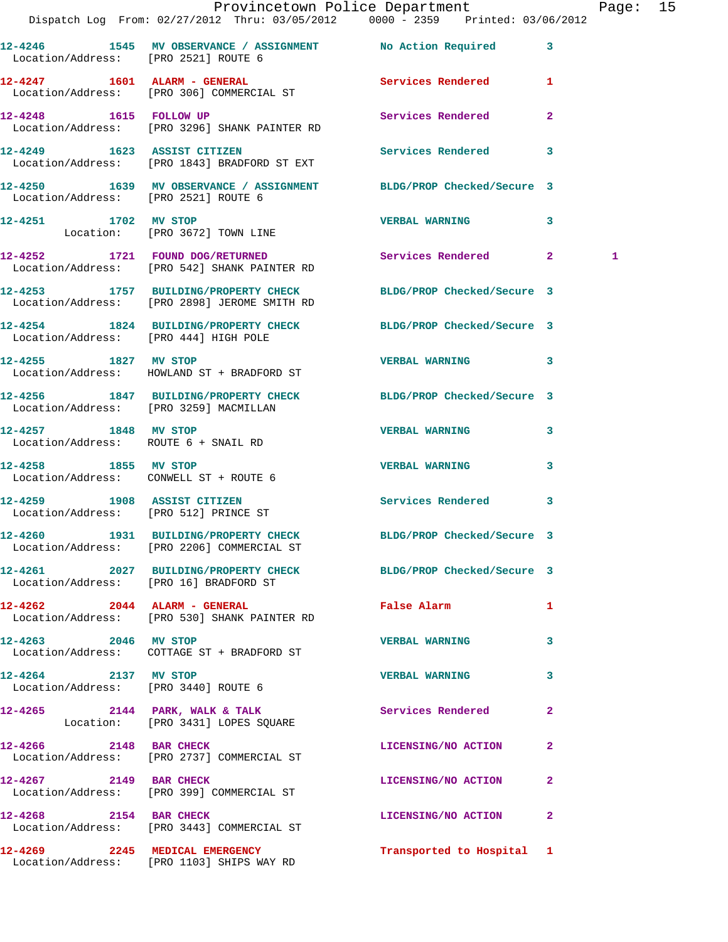|                                                                      |                                                                                       | Provincetown Police Department<br>Dispatch Log From: 02/27/2012 Thru: 03/05/2012 0000 - 2359 Printed: 03/06/2012 | Page: 15 |
|----------------------------------------------------------------------|---------------------------------------------------------------------------------------|------------------------------------------------------------------------------------------------------------------|----------|
|                                                                      | Location/Address: [PRO 2521] ROUTE 6                                                  | 12-4246 1545 MV OBSERVANCE / ASSIGNMENT No Action Required 3                                                     |          |
|                                                                      | Location/Address: [PRO 306] COMMERCIAL ST                                             | 12-4247 1601 ALARM - GENERAL Services Rendered 1                                                                 |          |
|                                                                      | 12-4248 1615 FOLLOW UP<br>Location/Address: [PRO 3296] SHANK PAINTER RD               | Services Rendered<br>$\mathbf{2}$                                                                                |          |
|                                                                      | 12-4249 1623 ASSIST CITIZEN<br>Location/Address: [PRO 1843] BRADFORD ST EXT           | Services Rendered 3                                                                                              |          |
| Location/Address: [PRO 2521] ROUTE 6                                 |                                                                                       | 12-4250 1639 MV OBSERVANCE / ASSIGNMENT BLDG/PROP Checked/Secure 3                                               |          |
|                                                                      | 12-4251 1702 MV STOP<br>Location: [PRO 3672] TOWN LINE                                | <b>VERBAL WARNING</b><br>3                                                                                       |          |
|                                                                      | Location/Address: [PRO 542] SHANK PAINTER RD                                          | 12-4252 1721 FOUND DOG/RETURNED Services Rendered 2                                                              | 1        |
|                                                                      | Location/Address: [PRO 2898] JEROME SMITH RD                                          | 12-4253 1757 BUILDING/PROPERTY CHECK BLDG/PROP Checked/Secure 3                                                  |          |
|                                                                      | Location/Address: [PRO 444] HIGH POLE                                                 | 12-4254 1824 BUILDING/PROPERTY CHECK BLDG/PROP Checked/Secure 3                                                  |          |
|                                                                      | 12-4255 1827 MV STOP<br>Location/Address: HOWLAND ST + BRADFORD ST                    | VERBAL WARNING 3                                                                                                 |          |
|                                                                      | Location/Address: [PRO 3259] MACMILLAN                                                | 12-4256 1847 BUILDING/PROPERTY CHECK BLDG/PROP Checked/Secure 3                                                  |          |
| Location/Address: ROUTE 6 + SNAIL RD                                 | 12-4257 1848 MV STOP                                                                  | <b>VERBAL WARNING</b><br>3                                                                                       |          |
| 12-4258 1855 MV STOP<br>Location/Address: CONWELL ST + ROUTE 6       |                                                                                       | <b>VERBAL WARNING</b><br>3                                                                                       |          |
| 12-4259 1908 ASSIST CITIZEN<br>Location/Address: [PRO 512] PRINCE ST |                                                                                       | Services Rendered 3                                                                                              |          |
|                                                                      | Location/Address: [PRO 2206] COMMERCIAL ST                                            | 12-4260 1931 BUILDING/PROPERTY CHECK BLDG/PROP Checked/Secure 3                                                  |          |
|                                                                      | Location/Address: [PRO 16] BRADFORD ST                                                | 12-4261 2027 BUILDING/PROPERTY CHECK BLDG/PROP Checked/Secure 3                                                  |          |
|                                                                      | 12-4262 2044 ALARM - GENERAL<br>Location/Address: [PRO 530] SHANK PAINTER RD          | False Alarm <b>Exercise Service Service</b><br>$\mathbf{1}$                                                      |          |
|                                                                      | 12-4263 2046 MV STOP                                                                  | <b>VERBAL WARNING</b><br>3                                                                                       |          |
| 12-4264 2137 MV STOP                                                 | Location/Address: [PRO 3440] ROUTE 6                                                  | <b>VERBAL WARNING</b><br>3                                                                                       |          |
|                                                                      | 12-4265 2144 PARK, WALK & TALK Services Rendered<br>Location: [PRO 3431] LOPES SQUARE | $\mathbf{2}$                                                                                                     |          |
| 12-4266 2148 BAR CHECK                                               | Location/Address: [PRO 2737] COMMERCIAL ST                                            | LICENSING/NO ACTION<br>$\mathbf{2}$                                                                              |          |
|                                                                      | 12-4267 2149 BAR CHECK<br>Location/Address: [PRO 399] COMMERCIAL ST                   | LICENSING/NO ACTION<br>$\mathbf{2}$                                                                              |          |
| 12-4268 2154 BAR CHECK                                               | Location/Address: [PRO 3443] COMMERCIAL ST                                            | LICENSING/NO ACTION 2                                                                                            |          |
|                                                                      | 12-4269 2245 MEDICAL EMERGENCY<br>Location/Address: [PRO 1103] SHIPS WAY RD           | Transported to Hospital 1                                                                                        |          |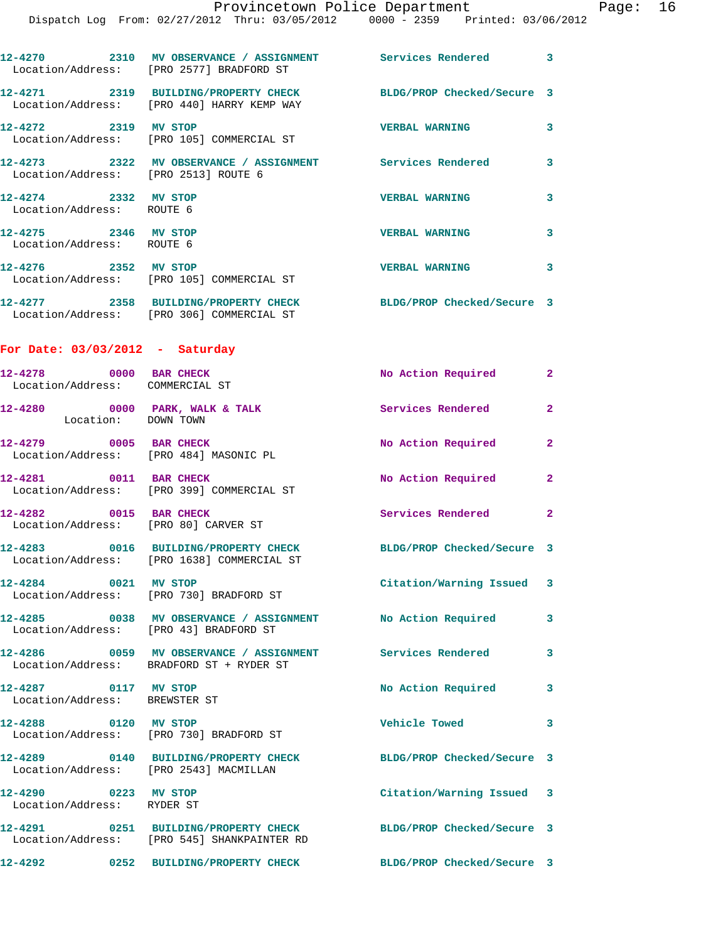|                                                           |                                                                                                                | Provincetown Police Department Page: 16 |              |  |
|-----------------------------------------------------------|----------------------------------------------------------------------------------------------------------------|-----------------------------------------|--------------|--|
|                                                           | Dispatch Log From: 02/27/2012 Thru: 03/05/2012 0000 - 2359 Printed: 03/06/2012                                 |                                         |              |  |
|                                                           | 12-4270 2310 MV OBSERVANCE / ASSIGNMENT Services Rendered 3<br>Location/Address: [PRO 2577] BRADFORD ST        |                                         |              |  |
|                                                           | 12-4271 2319 BUILDING/PROPERTY CHECK BLDG/PROP Checked/Secure 3<br>Location/Address: [PRO 440] HARRY KEMP WAY  |                                         |              |  |
| 12-4272 2319 MV STOP                                      | Location/Address: [PRO 105] COMMERCIAL ST                                                                      | <b>VERBAL WARNING</b>                   | 3            |  |
| Location/Address: [PRO 2513] ROUTE 6                      | 12-4273 2322 MV OBSERVANCE / ASSIGNMENT Services Rendered                                                      |                                         | 3            |  |
| 12-4274 2332 MV STOP<br>Location/Address: ROUTE 6         |                                                                                                                | VERBAL WARNING 3                        |              |  |
| 12-4275 2346 MV STOP<br>Location/Address: ROUTE 6         |                                                                                                                | <b>VERBAL WARNING</b>                   | 3            |  |
| 12-4276 2352 MV STOP                                      | Location/Address: [PRO 105] COMMERCIAL ST                                                                      | <b>VERBAL WARNING</b> 3                 |              |  |
|                                                           | 12-4277 2358 BUILDING/PROPERTY CHECK BLDG/PROP Checked/Secure 3<br>Location/Address: [PRO 306] COMMERCIAL ST   |                                         |              |  |
| For Date: $03/03/2012$ - Saturday                         |                                                                                                                |                                         |              |  |
| 12-4278 0000 BAR CHECK<br>Location/Address: COMMERCIAL ST |                                                                                                                | No Action Required 2                    |              |  |
|                                                           | 12-4280 0000 PARK, WALK & TALK Services Rendered Location: DOWN TOWN                                           |                                         | $\mathbf{2}$ |  |
| Location/Address: [PRO 484] MASONIC PL                    | 12-4279 0005 BAR CHECK                                                                                         | No Action Required 2                    |              |  |
| 12-4281 0011 BAR CHECK                                    | Location/Address: [PRO 399] COMMERCIAL ST                                                                      | No Action Required                      | $\mathbf{2}$ |  |
| 12-4282 0015 BAR CHECK                                    | Location/Address: [PRO 80] CARVER ST                                                                           | Services Rendered                       | $\mathbf{2}$ |  |
|                                                           | 12-4283 0016 BUILDING/PROPERTY CHECK BLDG/PROP Checked/Secure 3<br>Location/Address: [PRO 1638] COMMERCIAL ST  |                                         |              |  |
|                                                           | 12-4284 0021 MV STOP<br>Location/Address: [PRO 730] BRADFORD ST                                                | Citation/Warning Issued 3               |              |  |
| Location/Address: [PRO 43] BRADFORD ST                    | 12-4285 0038 MV OBSERVANCE / ASSIGNMENT No Action Required 3                                                   |                                         |              |  |
|                                                           | 12-4286 60059 MV OBSERVANCE / ASSIGNMENT Services Rendered<br>Location/Address: BRADFORD ST + RYDER ST         |                                         | 3            |  |
| 12-4287 0117 MV STOP<br>Location/Address: BREWSTER ST     |                                                                                                                | No Action Required 3                    |              |  |
| 12-4288 0120 MV STOP                                      | Location/Address: [PRO 730] BRADFORD ST                                                                        | <b>Vehicle Towed</b>                    | 3            |  |
| Location/Address: [PRO 2543] MACMILLAN                    | 12-4289 0140 BUILDING/PROPERTY CHECK BLDG/PROP Checked/Secure 3                                                |                                         |              |  |
| 12-4290 0223 MV STOP<br>Location/Address: RYDER ST        |                                                                                                                | Citation/Warning Issued 3               |              |  |
|                                                           | 12-4291 0251 BUILDING/PROPERTY CHECK BLDG/PROP Checked/Secure 3<br>Location/Address: [PRO 545] SHANKPAINTER RD |                                         |              |  |
|                                                           | 12-4292 0252 BUILDING/PROPERTY CHECK                                                                           | BLDG/PROP Checked/Secure 3              |              |  |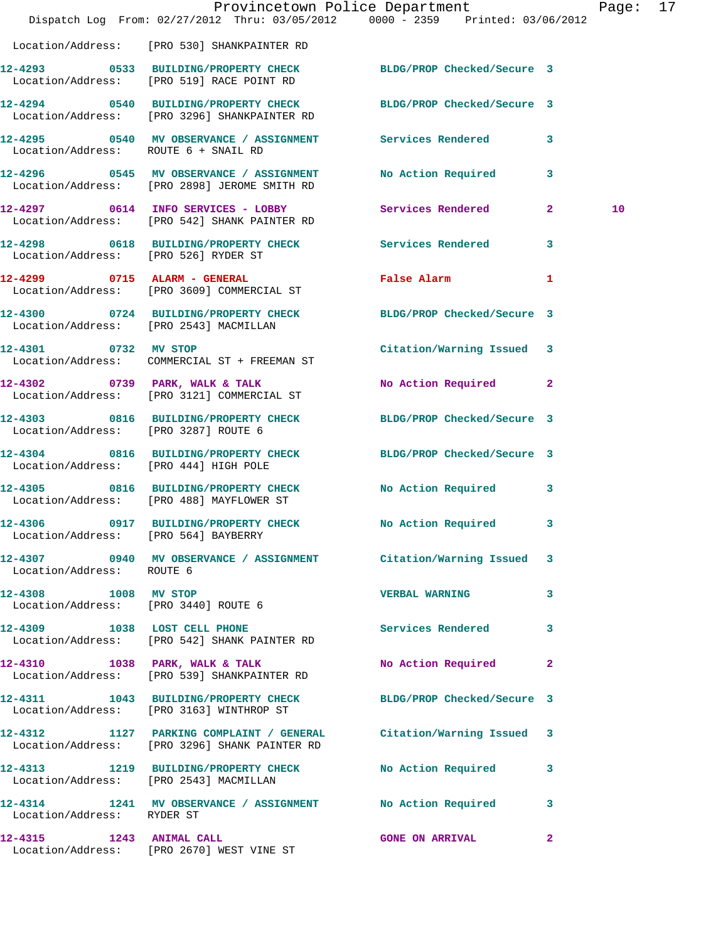|                                       | Dispatch Log From: 02/27/2012 Thru: 03/05/2012 0000 - 2359 Printed: 03/06/2012                                      | Provincetown Police Department         | Page: 17 |  |
|---------------------------------------|---------------------------------------------------------------------------------------------------------------------|----------------------------------------|----------|--|
|                                       | Location/Address: [PRO 530] SHANKPAINTER RD                                                                         |                                        |          |  |
|                                       | 12-4293 0533 BUILDING/PROPERTY CHECK BLDG/PROP Checked/Secure 3<br>Location/Address: [PRO 519] RACE POINT RD        |                                        |          |  |
|                                       | 12-4294 0540 BUILDING/PROPERTY CHECK BLDG/PROP Checked/Secure 3<br>Location/Address: [PRO 3296] SHANKPAINTER RD     |                                        |          |  |
| Location/Address: ROUTE 6 + SNAIL RD  | 12-4295 0540 MV OBSERVANCE / ASSIGNMENT Services Rendered 3                                                         |                                        |          |  |
|                                       | 12-4296 0545 MV OBSERVANCE / ASSIGNMENT<br>Location/Address: [PRO 2898] JEROME SMITH RD                             | No Action Required 3                   |          |  |
|                                       | 12-4297 0614 INFO SERVICES - LOBBY<br>Location/Address: [PRO 542] SHANK PAINTER RD                                  | Services Rendered 2                    | 10       |  |
| Location/Address: [PRO 526] RYDER ST  | 12-4298 0618 BUILDING/PROPERTY CHECK Services Rendered 3                                                            |                                        |          |  |
|                                       | 12-4299 0715 ALARM - GENERAL<br>Location/Address: [PRO 3609] COMMERCIAL ST                                          | <b>False Alarm</b><br>1                |          |  |
|                                       | 12-4300 0724 BUILDING/PROPERTY CHECK BLDG/PROP Checked/Secure 3<br>Location/Address: [PRO 2543] MACMILLAN           |                                        |          |  |
|                                       | 12-4301 0732 MV STOP<br>Location/Address: COMMERCIAL ST + FREEMAN ST                                                | Citation/Warning Issued 3              |          |  |
|                                       | 12-4302 0739 PARK, WALK & TALK<br>Location/Address: [PRO 3121] COMMERCIAL ST                                        | No Action Required 2                   |          |  |
| Location/Address: [PRO 3287] ROUTE 6  | 12-4303 0816 BUILDING/PROPERTY CHECK BLDG/PROP Checked/Secure 3                                                     |                                        |          |  |
| Location/Address: [PRO 444] HIGH POLE | 12-4304 0816 BUILDING/PROPERTY CHECK BLDG/PROP Checked/Secure 3                                                     |                                        |          |  |
|                                       | 12-4305 0816 BUILDING/PROPERTY CHECK<br>Location/Address: [PRO 488] MAYFLOWER ST                                    | No Action Required 3                   |          |  |
| 12-4306                               | 0917 BUILDING/PROPERTY CHECK No Action Required 3<br>Location/Address: [PRO 564] BAYBERRY                           |                                        |          |  |
| Location/Address: ROUTE 6             | 12-4307 0940 MV OBSERVANCE / ASSIGNMENT Citation/Warning Issued 3                                                   |                                        |          |  |
| 12-4308 1008 MV STOP                  | Location/Address: [PRO 3440] ROUTE 6                                                                                | <b>VERBAL WARNING</b><br>3             |          |  |
|                                       | 12-4309 1038 LOST CELL PHONE<br>Location/Address: [PRO 542] SHANK PAINTER RD                                        | Services Rendered<br>3                 |          |  |
|                                       | 12-4310 1038 PARK, WALK & TALK<br>Location/Address: [PRO 539] SHANKPAINTER RD                                       | No Action Required<br>$\mathbf{2}$     |          |  |
|                                       | 12-4311 1043 BUILDING/PROPERTY CHECK BLDG/PROP Checked/Secure 3<br>Location/Address: [PRO 3163] WINTHROP ST         |                                        |          |  |
|                                       | 12-4312 1127 PARKING COMPLAINT / GENERAL Citation/Warning Issued 3<br>Location/Address: [PRO 3296] SHANK PAINTER RD |                                        |          |  |
|                                       | 12-4313 1219 BUILDING/PROPERTY CHECK<br>Location/Address: [PRO 2543] MACMILLAN                                      | No Action Required 3                   |          |  |
| Location/Address: RYDER ST            | 12-4314 1241 MV OBSERVANCE / ASSIGNMENT No Action Required 3                                                        |                                        |          |  |
|                                       | 12-4315 1243 ANIMAL CALL<br>Location/Address: [PRO 2670] WEST VINE ST                                               | <b>GONE ON ARRIVAL</b><br>$\mathbf{2}$ |          |  |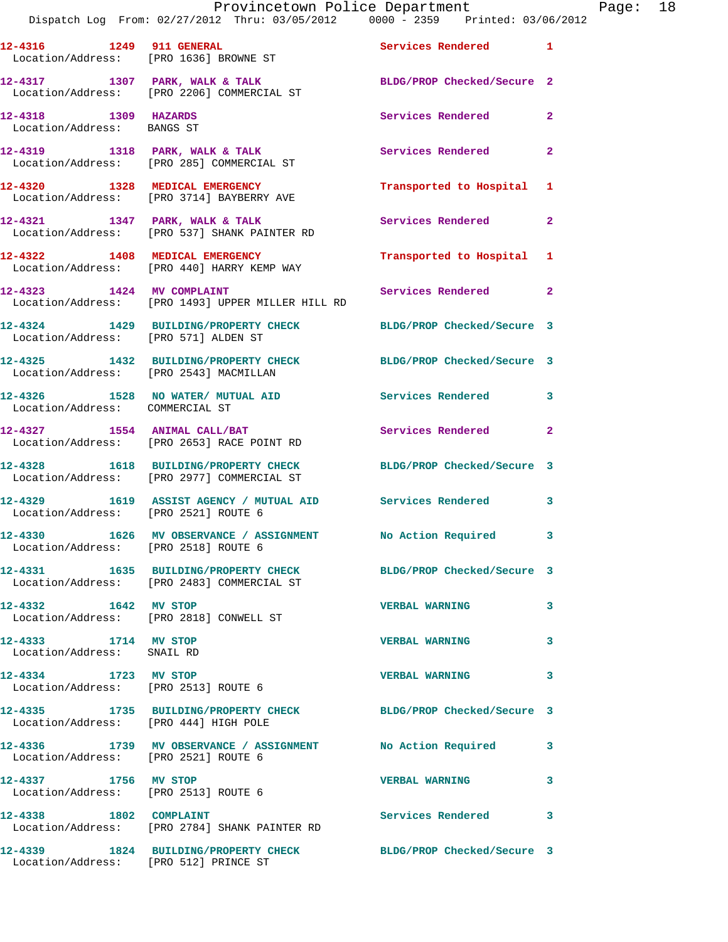|                                                              | Provincetown Police Department<br>Dispatch Log From: 02/27/2012 Thru: 03/05/2012   0000 - 2359   Printed: 03/06/2012 |                            |              |
|--------------------------------------------------------------|----------------------------------------------------------------------------------------------------------------------|----------------------------|--------------|
|                                                              | 12-4316 1249 911 GENERAL<br>Location/Address: [PRO 1636] BROWNE ST                                                   | Services Rendered          | $\mathbf{1}$ |
|                                                              | 12-4317 1307 PARK, WALK & TALK<br>Location/Address: [PRO 2206] COMMERCIAL ST                                         | BLDG/PROP Checked/Secure 2 |              |
| 12-4318 1309 HAZARDS<br>Location/Address: BANGS ST           |                                                                                                                      | Services Rendered          | $\mathbf{2}$ |
|                                                              | 12-4319 1318 PARK, WALK & TALK<br>Location/Address: [PRO 285] COMMERCIAL ST                                          | Services Rendered          | $\mathbf{2}$ |
|                                                              | 12-4320 1328 MEDICAL EMERGENCY<br>Location/Address: [PRO 3714] BAYBERRY AVE                                          | Transported to Hospital 1  |              |
|                                                              | 12-4321 1347 PARK, WALK & TALK<br>Location/Address: [PRO 537] SHANK PAINTER RD                                       | <b>Services Rendered</b>   | $\mathbf{2}$ |
|                                                              | 12-4322 1408 MEDICAL EMERGENCY<br>Location/Address: [PRO 440] HARRY KEMP WAY                                         | Transported to Hospital 1  |              |
|                                                              | 12-4323 1424 MV COMPLAINT<br>Location/Address: [PRO 1493] UPPER MILLER HILL RD                                       | <b>Services Rendered</b>   | $\mathbf{2}$ |
| Location/Address: [PRO 571] ALDEN ST                         | 12-4324 1429 BUILDING/PROPERTY CHECK BLDG/PROP Checked/Secure 3                                                      |                            |              |
| Location/Address: [PRO 2543] MACMILLAN                       | 12-4325 1432 BUILDING/PROPERTY CHECK BLDG/PROP Checked/Secure 3                                                      |                            |              |
| Location/Address: COMMERCIAL ST                              | 12-4326 1528 NO WATER/MUTUAL AID                                                                                     | Services Rendered          | 3            |
|                                                              | 12-4327 1554 ANIMAL CALL/BAT<br>Location/Address: [PRO 2653] RACE POINT RD                                           | <b>Services Rendered</b>   | $\mathbf{2}$ |
|                                                              | 12-4328 1618 BUILDING/PROPERTY CHECK BLDG/PROP Checked/Secure 3<br>Location/Address: [PRO 2977] COMMERCIAL ST        |                            |              |
|                                                              | 12-4329   1619   ASSIST AGENCY / MUTUAL AID   Services Rendered<br>Location/Address: [PRO 2521] ROUTE 6              |                            | 3            |
| Location/Address: [PRO 2518] ROUTE 6                         | 12-4330 1626 MV OBSERVANCE / ASSIGNMENT No Action Required                                                           |                            |              |
|                                                              | 12-4331 1635 BUILDING/PROPERTY CHECK<br>Location/Address: [PRO 2483] COMMERCIAL ST                                   | BLDG/PROP Checked/Secure 3 |              |
| 12-4332 1642 MV STOP                                         | Location/Address: [PRO 2818] CONWELL ST                                                                              | <b>VERBAL WARNING</b>      | 3            |
| 12-4333 1714 MV STOP<br>Location/Address: SNAIL RD           |                                                                                                                      | <b>VERBAL WARNING</b>      | 3            |
| 12-4334 1723 MV STOP                                         | Location/Address: [PRO 2513] ROUTE 6                                                                                 | <b>VERBAL WARNING</b>      | 3            |
| Location/Address: [PRO 444] HIGH POLE                        | 12-4335 1735 BUILDING/PROPERTY CHECK BLDG/PROP Checked/Secure 3                                                      |                            |              |
| Location/Address: [PRO 2521] ROUTE 6                         | 12-4336 1739 MV OBSERVANCE / ASSIGNMENT No Action Required                                                           |                            | 3            |
| 12-4337 1756 MV STOP<br>Location/Address: [PRO 2513] ROUTE 6 |                                                                                                                      | <b>VERBAL WARNING</b>      | 3            |
| 1802 COMPLAINT<br>12-4338                                    | Location/Address: [PRO 2784] SHANK PAINTER RD                                                                        | Services Rendered          | 3            |
|                                                              | 12-4339 1824 BUILDING/PROPERTY CHECK BLDG/PROP Checked/Secure 3                                                      |                            |              |

Location/Address: [PRO 512] PRINCE ST

Page: 18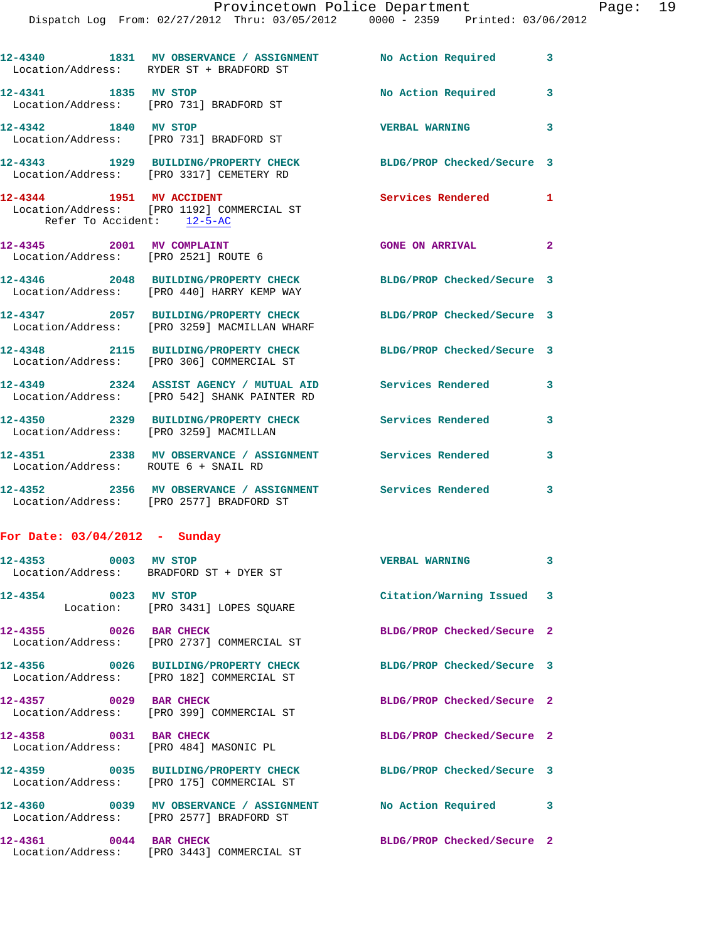|                               | 12-4340 1831 MV OBSERVANCE / ASSIGNMENT<br>Location/Address: RYDER ST + BRADFORD ST                       | No Action Required         | 3            |
|-------------------------------|-----------------------------------------------------------------------------------------------------------|----------------------------|--------------|
| 12-4341 1835 MV STOP          | Location/Address: [PRO 731] BRADFORD ST                                                                   | No Action Required         | 3            |
| 12-4342 1840 MV STOP          | Location/Address: [PRO 731] BRADFORD ST                                                                   | <b>VERBAL WARNING</b>      | 3            |
|                               | 12-4343 1929 BUILDING/PROPERTY CHECK<br>Location/Address: [PRO 3317] CEMETERY RD                          | BLDG/PROP Checked/Secure 3 |              |
| Refer To Accident: 12-5-AC    | 12-4344 1951 MV ACCIDENT<br>Location/Address: [PRO 1192] COMMERCIAL ST                                    | Services Rendered 1        |              |
|                               | 12-4345 2001 MV COMPLAINT<br>Location/Address: [PRO 2521] ROUTE 6                                         | <b>GONE ON ARRIVAL</b>     | $\mathbf{2}$ |
|                               | 12-4346 2048 BUILDING/PROPERTY CHECK<br>Location/Address: [PRO 440] HARRY KEMP WAY                        | BLDG/PROP Checked/Secure 3 |              |
|                               | 12-4347 2057 BUILDING/PROPERTY CHECK<br>Location/Address: [PRO 3259] MACMILLAN WHARF                      | BLDG/PROP Checked/Secure 3 |              |
|                               | 12-4348 2115 BUILDING/PROPERTY CHECK<br>Location/Address: [PRO 306] COMMERCIAL ST                         | BLDG/PROP Checked/Secure 3 |              |
|                               | 12-4349 2324 ASSIST AGENCY / MUTUAL AID Services Rendered<br>Location/Address: [PRO 542] SHANK PAINTER RD |                            | 3            |
|                               | 12-4350 2329 BUILDING/PROPERTY CHECK<br>Location/Address: [PRO 3259] MACMILLAN                            | Services Rendered          | 3            |
|                               | 12-4351 2338 MV OBSERVANCE / ASSIGNMENT Services Rendered<br>Location/Address: ROUTE 6 + SNAIL RD         |                            | 3            |
|                               | 12-4352 2356 MV OBSERVANCE / ASSIGNMENT Services Rendered<br>Location/Address: [PRO 2577] BRADFORD ST     |                            | 3            |
| For Date: 03/04/2012 - Sunday |                                                                                                           |                            |              |
| 12-4353 0003 MV STOP          | Location/Address: BRADFORD ST + DYER ST                                                                   | <b>VERBAL WARNING</b>      |              |
| 0023 MV STOP<br>12-4354       | Location: [PRO 3431] LOPES SQUARE                                                                         | Citation/Warning Issued 3  |              |
| 12-4355 0026 BAR CHECK        | Location/Address: [PRO 2737] COMMERCIAL ST                                                                | BLDG/PROP Checked/Secure 2 |              |
| 12-4356                       | 0026 BUILDING/PROPERTY CHECK                                                                              | BLDG/PROP Checked/Secure 3 |              |

 Location/Address: [PRO 182] COMMERCIAL ST **12-4357 0029 BAR CHECK BLDG/PROP Checked/Secure 2**  Location/Address: [PRO 399] COMMERCIAL ST **12-4358 0031 BAR CHECK BLDG/PROP Checked/Secure 2**  Location/Address: [PRO 484] MASONIC PL **12-4359 0035 BUILDING/PROPERTY CHECK BLDG/PROP Checked/Secure 3**  Location/Address: [PRO 175] COMMERCIAL ST **12-4360 0039 MV OBSERVANCE / ASSIGNMENT No Action Required 3**  Location/Address: [PRO 2577] BRADFORD ST **12-4361 0044 BAR CHECK BLDG/PROP Checked/Secure 2**  Location/Address: [PRO 3443] COMMERCIAL ST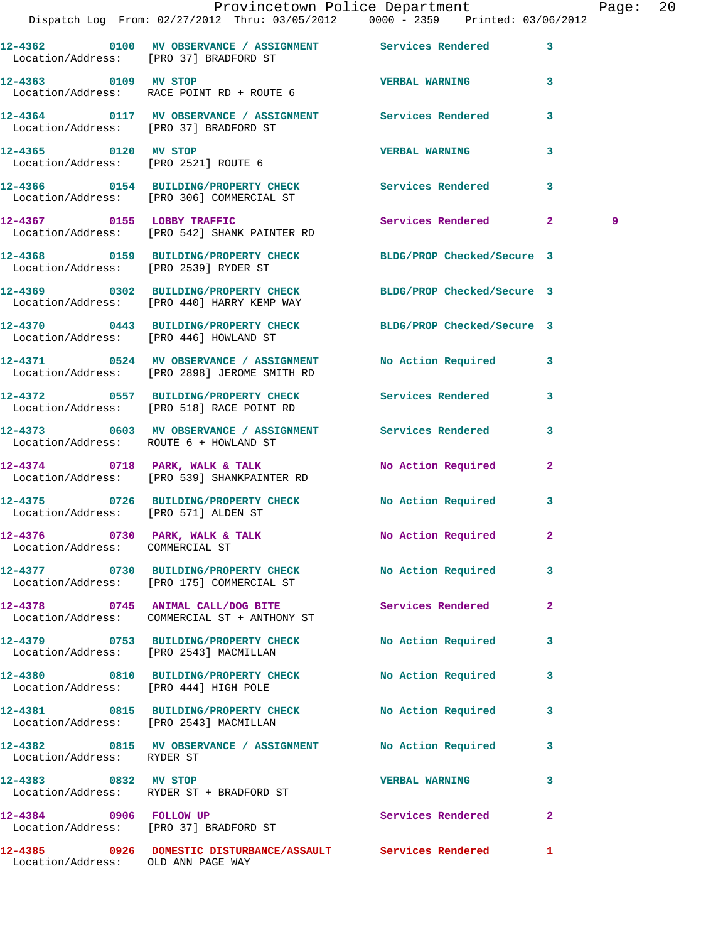|                                                                   | Dispatch Log From: 02/27/2012 Thru: 03/05/2012 0000 - 2359 Printed: 03/06/2012                                | Provincetown Police Department | Page: 20     |
|-------------------------------------------------------------------|---------------------------------------------------------------------------------------------------------------|--------------------------------|--------------|
|                                                                   | 12-4362 6100 MV OBSERVANCE / ASSIGNMENT Services Rendered 3                                                   |                                |              |
| 12-4363 0109 MV STOP                                              | Location/Address: [PRO 37] BRADFORD ST<br>Location/Address: RACE POINT RD + ROUTE 6                           | VERBAL WARNING                 | $\mathbf{3}$ |
|                                                                   | 12-4364 0117 MV OBSERVANCE / ASSIGNMENT Services Rendered 3<br>Location/Address: [PRO 37] BRADFORD ST         |                                |              |
| 12-4365 0120 MV STOP                                              | Location/Address: [PRO 2521] ROUTE 6                                                                          | <b>VERBAL WARNING</b>          | 3            |
|                                                                   | 12-4366 0154 BUILDING/PROPERTY CHECK Services Rendered 3<br>Location/Address: [PRO 306] COMMERCIAL ST         |                                |              |
|                                                                   | 12-4367 0155 LOBBY TRAFFIC<br>Location/Address: [PRO 542] SHANK PAINTER RD                                    | Services Rendered 2            | 9            |
| Location/Address: [PRO 2539] RYDER ST                             | 12-4368 0159 BUILDING/PROPERTY CHECK BLDG/PROP Checked/Secure 3                                               |                                |              |
|                                                                   | 12-4369 0302 BUILDING/PROPERTY CHECK BLDG/PROP Checked/Secure 3<br>Location/Address: [PRO 440] HARRY KEMP WAY |                                |              |
|                                                                   | 12-4370 0443 BUILDING/PROPERTY CHECK BLDG/PROP Checked/Secure 3<br>Location/Address: [PRO 446] HOWLAND ST     |                                |              |
|                                                                   | 12-4371 0524 MV OBSERVANCE / ASSIGNMENT No Action Required 3<br>Location/Address: [PRO 2898] JEROME SMITH RD  |                                |              |
|                                                                   | 12-4372 0557 BUILDING/PROPERTY CHECK Services Rendered 3<br>Location/Address: [PRO 518] RACE POINT RD         |                                |              |
|                                                                   | 12-4373 0603 MV OBSERVANCE / ASSIGNMENT Services Rendered<br>Location/Address: ROUTE 6 + HOWLAND ST           |                                | $\mathbf{3}$ |
|                                                                   | $12-4374$ 0718 PARK, WALK & TALK<br>Location/Address: [PRO 539] SHANKPAINTER RD                               | No Action Required 2           |              |
| Location/Address: [PRO 571] ALDEN ST                              | 12-4375 0726 BUILDING/PROPERTY CHECK No Action Required 3                                                     |                                |              |
| 12-4376 0730 PARK, WALK & TALK<br>Location/Address: COMMERCIAL ST |                                                                                                               | No Action Required             |              |
|                                                                   | 12-4377 0730 BUILDING/PROPERTY CHECK<br>Location/Address: [PRO 175] COMMERCIAL ST                             | No Action Required             | $\mathbf{3}$ |
|                                                                   | 12-4378 0745 ANIMAL CALL/DOG BITE<br>Location/Address: COMMERCIAL ST + ANTHONY ST                             | Services Rendered              | $\mathbf{2}$ |
| Location/Address: [PRO 2543] MACMILLAN                            | 12-4379 0753 BUILDING/PROPERTY CHECK                                                                          | <b>No Action Required</b>      | 3            |
| Location/Address: [PRO 444] HIGH POLE                             | 12-4380 0810 BUILDING/PROPERTY CHECK No Action Required                                                       |                                | $\mathbf{3}$ |
|                                                                   | 12-4381 0815 BUILDING/PROPERTY CHECK<br>Location/Address: [PRO 2543] MACMILLAN                                | No Action Required             | 3            |
| Location/Address: RYDER ST                                        | 12-4382 0815 MV OBSERVANCE / ASSIGNMENT No Action Required                                                    |                                | 3            |
|                                                                   | 12-4383 0832 MV STOP<br>Location/Address: RYDER ST + BRADFORD ST                                              | <b>VERBAL WARNING</b>          | 3            |
| 12-4384 0906 FOLLOW UP                                            | Location/Address: [PRO 37] BRADFORD ST                                                                        | Services Rendered              | $\mathbf{2}$ |
| Location/Address: OLD ANN PAGE WAY                                | 12-4385 0926 DOMESTIC DISTURBANCE/ASSAULT Services Rendered 1                                                 |                                |              |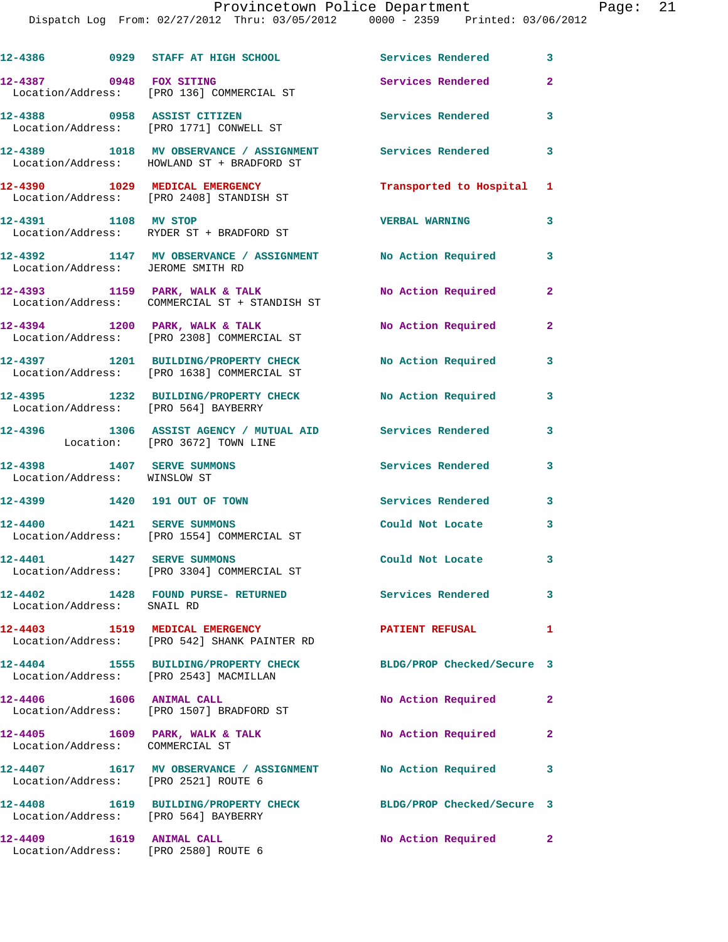## Provincetown Police Department Page: 21

Dispatch Log From: 02/27/2012 Thru: 03/05/2012 0000 - 2359 Printed: 03/06/2012

|                                                                   | 12-4386 0929 STAFF AT HIGH SCHOOL                                                           | <b>Services Rendered</b>   | $\overline{\mathbf{3}}$ |
|-------------------------------------------------------------------|---------------------------------------------------------------------------------------------|----------------------------|-------------------------|
| 12-4387 0948 FOX SITING                                           | Location/Address: [PRO 136] COMMERCIAL ST                                                   | Services Rendered          | $\overline{a}$          |
| 12-4388 0958 ASSIST CITIZEN                                       | Location/Address: [PRO 1771] CONWELL ST                                                     | Services Rendered          | 3                       |
|                                                                   | 12-4389 1018 MV OBSERVANCE / ASSIGNMENT<br>Location/Address: HOWLAND ST + BRADFORD ST       | Services Rendered          | $\mathbf{3}$            |
|                                                                   | 12-4390 1029 MEDICAL EMERGENCY<br>Location/Address: [PRO 2408] STANDISH ST                  | Transported to Hospital 1  |                         |
| 12-4391 1108 MV STOP                                              | Location/Address: RYDER ST + BRADFORD ST                                                    | <b>VERBAL WARNING</b>      | 3                       |
| Location/Address: JEROME SMITH RD                                 | 12-4392 1147 MV OBSERVANCE / ASSIGNMENT No Action Required                                  |                            | 3                       |
|                                                                   | $12-4393$ 1159 PARK, WALK & TALK<br>Location/Address: COMMERCIAL ST + STANDISH ST           | No Action Required         | $\mathbf{2}$            |
|                                                                   | $12-4394$ 1200 PARK, WALK & TALK<br>Location/Address: [PRO 2308] COMMERCIAL ST              | No Action Required         | $\overline{2}$          |
|                                                                   | 12-4397 1201 BUILDING/PROPERTY CHECK<br>Location/Address: [PRO 1638] COMMERCIAL ST          | No Action Required         | 3                       |
| Location/Address: [PRO 564] BAYBERRY                              | 12-4395 1232 BUILDING/PROPERTY CHECK                                                        | No Action Required         | 3                       |
|                                                                   | 12-4396 1306 ASSIST AGENCY / MUTUAL AID Services Rendered<br>Location: [PRO 3672] TOWN LINE |                            | 3                       |
| 12-4398 1407 SERVE SUMMONS<br>Location/Address: WINSLOW ST        |                                                                                             | <b>Services Rendered</b>   | 3                       |
| 12-4399 1420 191 OUT OF TOWN                                      |                                                                                             | <b>Services Rendered</b>   | 3                       |
| 12-4400                                                           | 1421 SERVE SUMMONS<br>Location/Address: [PRO 1554] COMMERCIAL ST                            | Could Not Locate           | 3                       |
| 12-4401 1427 SERVE SUMMONS                                        | Location/Address: [PRO 3304] COMMERCIAL ST                                                  | Could Not Locate           | 3                       |
| Location/Address: SNAIL RD                                        | 12-4402 1428 FOUND PURSE- RETURNED                                                          | Services Rendered          | 3                       |
|                                                                   | 12-4403 1519 MEDICAL EMERGENCY<br>Location/Address: [PRO 542] SHANK PAINTER RD              | PATIENT REFUSAL 1          |                         |
|                                                                   |                                                                                             | BLDG/PROP Checked/Secure 3 |                         |
| 12-4406 1606 ANIMAL CALL                                          | Location/Address: [PRO 1507] BRADFORD ST                                                    | No Action Required         | $\mathbf{2}$            |
| 12-4405 1609 PARK, WALK & TALK<br>Location/Address: COMMERCIAL ST |                                                                                             | No Action Required         | $\mathbf{2}$            |
| Location/Address: [PRO 2521] ROUTE 6                              | 12-4407 1617 MV OBSERVANCE / ASSIGNMENT No Action Required                                  |                            | 3                       |
| Location/Address: [PRO 564] BAYBERRY                              | 12-4408 1619 BUILDING/PROPERTY CHECK                                                        | BLDG/PROP Checked/Secure 3 |                         |
| 12-4409 1619 ANIMAL CALL<br>Location/Address: [PRO 2580] ROUTE 6  |                                                                                             | No Action Required 2       |                         |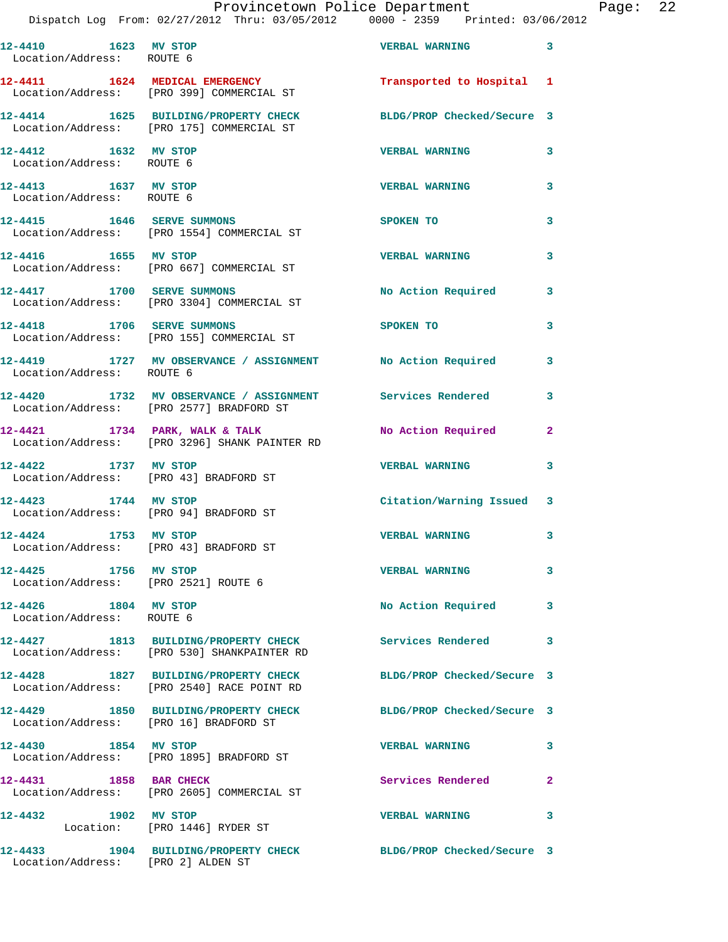|                          |  | Provincetown Police Department |  |                                 | Page: 22 |  |
|--------------------------|--|--------------------------------|--|---------------------------------|----------|--|
| 27/2012 Thru: 03/05/2012 |  |                                |  | 0000 - 2359 Printed: 03/06/2012 |          |  |

|                                                                   | Dispatch Log From: 02/27/2012 Thru: 03/05/2012 0000 - 2359 Printed: 03/06/                            |                            |                         |
|-------------------------------------------------------------------|-------------------------------------------------------------------------------------------------------|----------------------------|-------------------------|
| 12-4410 1623 MV STOP<br>Location/Address: ROUTE 6                 |                                                                                                       | <b>VERBAL WARNING</b>      | $\overline{\mathbf{3}}$ |
|                                                                   | 12-4411 1624 MEDICAL EMERGENCY<br>Location/Address: [PRO 399] COMMERCIAL ST                           | Transported to Hospital 1  |                         |
|                                                                   | 12-4414 1625 BUILDING/PROPERTY CHECK<br>Location/Address: [PRO 175] COMMERCIAL ST                     | BLDG/PROP Checked/Secure 3 |                         |
| 12-4412 1632 MV STOP<br>Location/Address: ROUTE 6                 |                                                                                                       | <b>VERBAL WARNING</b>      | 3                       |
| 12-4413 1637 MV STOP<br>Location/Address: ROUTE 6                 |                                                                                                       | <b>VERBAL WARNING</b>      | 3                       |
| 12-4415 1646 SERVE SUMMONS                                        | Location/Address: [PRO 1554] COMMERCIAL ST                                                            | <b>SPOKEN TO</b>           | 3                       |
| 12-4416 1655 MV STOP                                              | Location/Address: [PRO 667] COMMERCIAL ST                                                             | <b>VERBAL WARNING</b>      | 3                       |
| 12-4417 1700 SERVE SUMMONS                                        | Location/Address: [PRO 3304] COMMERCIAL ST                                                            | <b>No Action Required</b>  | 3                       |
| 12-4418 1706 SERVE SUMMONS                                        | Location/Address: [PRO 155] COMMERCIAL ST                                                             | SPOKEN TO                  | 3                       |
| Location/Address: ROUTE 6                                         | 12-4419 1727 MV OBSERVANCE / ASSIGNMENT No Action Required                                            |                            | 3                       |
|                                                                   | 12-4420 1732 MV OBSERVANCE / ASSIGNMENT Services Rendered<br>Location/Address: [PRO 2577] BRADFORD ST |                            | 3                       |
|                                                                   | $12-4421$ 1734 PARK, WALK & TALK<br>Location/Address: [PRO 3296] SHANK PAINTER RD                     | No Action Required         | $\mathbf{2}$            |
| 12-4422 1737 MV STOP<br>Location/Address: [PRO 43] BRADFORD ST    |                                                                                                       | <b>VERBAL WARNING</b>      | 3                       |
| 12-4423 1744 MV STOP<br>Location/Address: [PRO 94] BRADFORD ST    |                                                                                                       | Citation/Warning Issued 3  |                         |
| 1753 MV STOP<br>12-4424<br>Location/Address: [PRO 43] BRADFORD ST |                                                                                                       | VERBAL WARNING 3           |                         |
| 12-4425 1756 MV STOP<br>Location/Address: [PRO 2521] ROUTE 6      |                                                                                                       | <b>VERBAL WARNING</b>      | 3                       |
| 12-4426 1804 MV STOP<br>Location/Address: ROUTE 6                 |                                                                                                       | No Action Required         | 3                       |
|                                                                   | 12-4427 1813 BUILDING/PROPERTY CHECK<br>Location/Address: [PRO 530] SHANKPAINTER RD                   | Services Rendered 3        |                         |
|                                                                   | 12-4428 1827 BUILDING/PROPERTY CHECK<br>Location/Address: [PRO 2540] RACE POINT RD                    | BLDG/PROP Checked/Secure 3 |                         |
| Location/Address: [PRO 16] BRADFORD ST                            | 12-4429 1850 BUILDING/PROPERTY CHECK                                                                  | BLDG/PROP Checked/Secure 3 |                         |
| 12-4430 1854 MV STOP                                              | Location/Address: [PRO 1895] BRADFORD ST                                                              | <b>VERBAL WARNING</b>      | 3                       |
| 12-4431 1858 BAR CHECK                                            | Location/Address: [PRO 2605] COMMERCIAL ST                                                            | Services Rendered          | $\mathbf{2}$            |
| 12-4432 1902 MV STOP                                              | Location: [PRO 1446] RYDER ST                                                                         | <b>VERBAL WARNING</b>      | $\overline{\mathbf{3}}$ |
| Location/Address: [PRO 2] ALDEN ST                                | 12-4433 1904 BUILDING/PROPERTY CHECK                                                                  | BLDG/PROP Checked/Secure 3 |                         |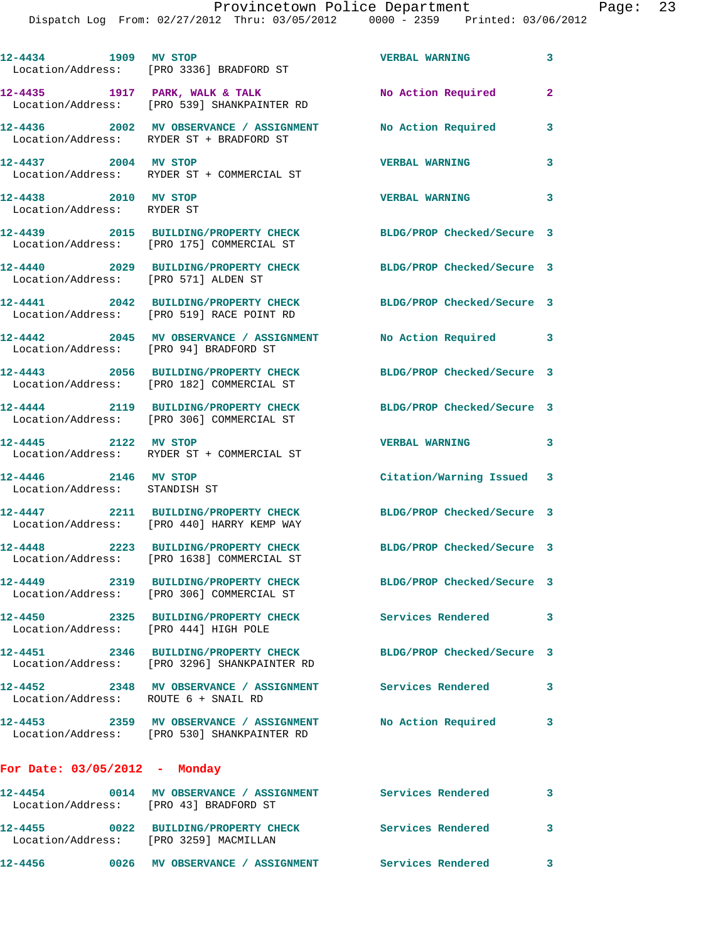| 12-4434 1909 MV STOP                                  | Location/Address: [PRO 3336] BRADFORD ST                                                                      | <b>VERBAL WARNING</b>      | $\mathbf{3}$ |
|-------------------------------------------------------|---------------------------------------------------------------------------------------------------------------|----------------------------|--------------|
|                                                       | 12-4435 1917 PARK, WALK & TALK<br>Location/Address: [PRO 539] SHANKPAINTER RD                                 | No Action Required         | $\mathbf{2}$ |
|                                                       | 12-4436 2002 MV OBSERVANCE / ASSIGNMENT No Action Required<br>Location/Address: RYDER ST + BRADFORD ST        |                            | 3            |
| 12-4437 2004 MV STOP                                  | Location/Address: RYDER ST + COMMERCIAL ST                                                                    | <b>VERBAL WARNING</b>      | 3            |
| 12-4438 2010 MV STOP<br>Location/Address: RYDER ST    |                                                                                                               | <b>VERBAL WARNING</b>      | 3            |
|                                                       | 12-4439 2015 BUILDING/PROPERTY CHECK<br>Location/Address: [PRO 175] COMMERCIAL ST                             | BLDG/PROP Checked/Secure 3 |              |
| Location/Address: [PRO 571] ALDEN ST                  | 12-4440 2029 BUILDING/PROPERTY CHECK                                                                          | BLDG/PROP Checked/Secure 3 |              |
|                                                       | 12-4441 2042 BUILDING/PROPERTY CHECK<br>Location/Address: [PRO 519] RACE POINT RD                             | BLDG/PROP Checked/Secure 3 |              |
| Location/Address: [PRO 94] BRADFORD ST                | 12-4442 2045 MV OBSERVANCE / ASSIGNMENT                                                                       | No Action Required 3       |              |
|                                                       | 12-4443 2056 BUILDING/PROPERTY CHECK<br>Location/Address: [PRO 182] COMMERCIAL ST                             | BLDG/PROP Checked/Secure 3 |              |
|                                                       | 12-4444 2119 BUILDING/PROPERTY CHECK<br>Location/Address: [PRO 306] COMMERCIAL ST                             | BLDG/PROP Checked/Secure 3 |              |
| 12-4445 2122 MV STOP                                  | Location/Address: RYDER ST + COMMERCIAL ST                                                                    | VERBAL WARNING 3           |              |
| 12-4446 2146 MV STOP<br>Location/Address: STANDISH ST |                                                                                                               | Citation/Warning Issued 3  |              |
|                                                       | 12-4447 2211 BUILDING/PROPERTY CHECK BLDG/PROP Checked/Secure 3<br>Location/Address: [PRO 440] HARRY KEMP WAY |                            |              |
|                                                       | 12-4448 2223 BUILDING/PROPERTY CHECK<br>Location/Address: [PRO 1638] COMMERCIAL ST                            | BLDG/PROP Checked/Secure 3 |              |
|                                                       | 12-4449 2319 BUILDING/PROPERTY CHECK<br>Location/Address: [PRO 306] COMMERCIAL ST                             | BLDG/PROP Checked/Secure 3 |              |
| Location/Address: [PRO 444] HIGH POLE                 | 12-4450 2325 BUILDING/PROPERTY CHECK                                                                          | Services Rendered          | 3            |
| 12-4451                                               | 2346 BUILDING/PROPERTY CHECK<br>Location/Address: [PRO 3296] SHANKPAINTER RD                                  | BLDG/PROP Checked/Secure 3 |              |
| Location/Address: ROUTE 6 + SNAIL RD                  | 12-4452 2348 MV OBSERVANCE / ASSIGNMENT Services Rendered                                                     |                            | 3            |
|                                                       | 12-4453 2359 MV OBSERVANCE / ASSIGNMENT<br>Location/Address: [PRO 530] SHANKPAINTER RD                        | No Action Required         | 3            |
| For Date: $03/05/2012$ - Monday                       |                                                                                                               |                            |              |
| Location/Address: [PRO 43] BRADFORD ST                |                                                                                                               |                            |              |

**12-4455 0022 BUILDING/PROPERTY CHECK Services Rendered 3** 

**12-4456 0026 MV OBSERVANCE / ASSIGNMENT Services Rendered 3** 

Location/Address: [PRO 3259] MACMILLAN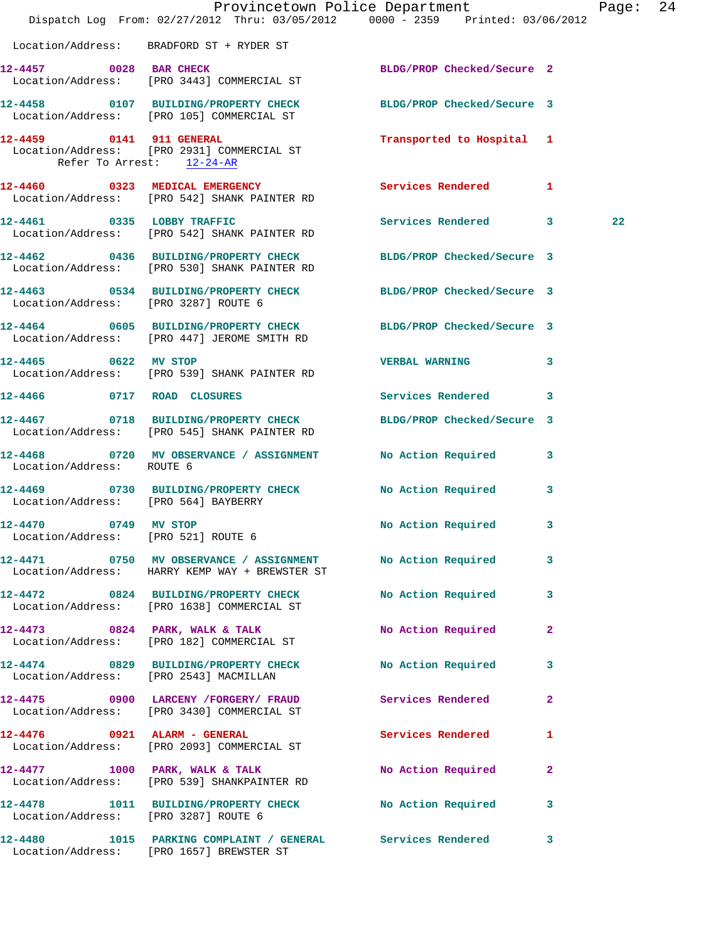|                                                             | Dispatch Log From: 02/27/2012 Thru: 03/05/2012 0000 - 2359 Printed: 03/06/2012                                  | Provincetown Police Department |              | Page: 24 |  |
|-------------------------------------------------------------|-----------------------------------------------------------------------------------------------------------------|--------------------------------|--------------|----------|--|
|                                                             | Location/Address: BRADFORD ST + RYDER ST                                                                        |                                |              |          |  |
|                                                             | 12-4457 0028 BAR CHECK<br>Location/Address: [PRO 3443] COMMERCIAL ST                                            | BLDG/PROP Checked/Secure 2     |              |          |  |
|                                                             | 12-4458 0107 BUILDING/PROPERTY CHECK BLDG/PROP Checked/Secure 3<br>Location/Address: [PRO 105] COMMERCIAL ST    |                                |              |          |  |
|                                                             | 12-4459 0141 911 GENERAL<br>Location/Address: [PRO 2931] COMMERCIAL ST<br>Refer To Arrest: $12-24-AR$           | Transported to Hospital 1      |              |          |  |
|                                                             | 12-4460 0323 MEDICAL EMERGENCY Services Rendered 1<br>Location/Address: [PRO 542] SHANK PAINTER RD              |                                |              |          |  |
|                                                             | 12-4461 0335 LOBBY TRAFFIC<br>Location/Address: [PRO 542] SHANK PAINTER RD                                      | Services Rendered 3            |              | 22       |  |
|                                                             | 12-4462 0436 BUILDING/PROPERTY CHECK BLDG/PROP Checked/Secure 3<br>Location/Address: [PRO 530] SHANK PAINTER RD |                                |              |          |  |
| Location/Address: [PRO 3287] ROUTE 6                        | 12-4463 0534 BUILDING/PROPERTY CHECK BLDG/PROP Checked/Secure 3                                                 |                                |              |          |  |
|                                                             | 12-4464 0605 BUILDING/PROPERTY CHECK BLDG/PROP Checked/Secure 3<br>Location/Address: [PRO 447] JEROME SMITH RD  |                                |              |          |  |
| 12-4465 0622 MV STOP                                        | Location/Address: [PRO 539] SHANK PAINTER RD                                                                    | <b>VERBAL WARNING</b>          | $\mathbf{3}$ |          |  |
| 12-4466 0717 ROAD CLOSURES                                  |                                                                                                                 | Services Rendered 3            |              |          |  |
|                                                             | 12-4467 0718 BUILDING/PROPERTY CHECK BLDG/PROP Checked/Secure 3<br>Location/Address: [PRO 545] SHANK PAINTER RD |                                |              |          |  |
| Location/Address: ROUTE 6                                   | 12-4468 0720 MV OBSERVANCE / ASSIGNMENT No Action Required 3                                                    |                                |              |          |  |
|                                                             | 12-4469 0730 BUILDING/PROPERTY CHECK<br>Location/Address: [PRO 564] BAYBERRY                                    | No Action Required             | $\mathbf{3}$ |          |  |
| 12-4470 0749 MV STOP<br>Location/Address: [PRO 521] ROUTE 6 |                                                                                                                 | No Action Required 3           |              |          |  |
|                                                             | 12-4471 0750 MV OBSERVANCE / ASSIGNMENT No Action Required 3<br>Location/Address: HARRY KEMP WAY + BREWSTER ST  |                                |              |          |  |
|                                                             | 12-4472 0824 BUILDING/PROPERTY CHECK<br>Location/Address: [PRO 1638] COMMERCIAL ST                              | No Action Required 3           |              |          |  |
|                                                             | 12-4473 0824 PARK, WALK & TALK<br>Location/Address: [PRO 182] COMMERCIAL ST                                     | No Action Required 2           |              |          |  |
|                                                             | 12-4474 0829 BUILDING/PROPERTY CHECK<br>Location/Address: [PRO 2543] MACMILLAN                                  | <b>No Action Required</b>      | 3            |          |  |
|                                                             | 12-4475 0900 LARCENY / FORGERY / FRAUD Services Rendered 2<br>Location/Address: [PRO 3430] COMMERCIAL ST        |                                |              |          |  |
|                                                             | 12-4476 0921 ALARM - GENERAL<br>Location/Address: [PRO 2093] COMMERCIAL ST                                      | Services Rendered              | 1            |          |  |
|                                                             | 12-4477 1000 PARK, WALK & TALK<br>Location/Address: [PRO 539] SHANKPAINTER RD                                   | No Action Required 2           |              |          |  |
| Location/Address: [PRO 3287] ROUTE 6                        | 12-4478 1011 BUILDING/PROPERTY CHECK No Action Required                                                         |                                | 3            |          |  |
|                                                             | 12-4480 1015 PARKING COMPLAINT / GENERAL Services Rendered 3<br>Location/Address: [PRO 1657] BREWSTER ST        |                                |              |          |  |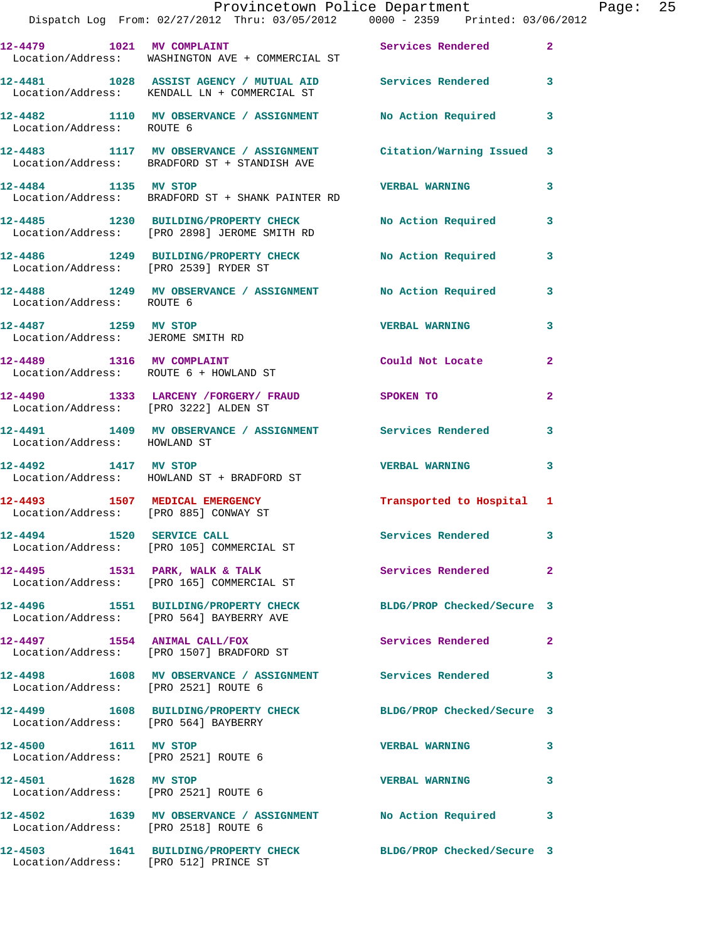|                                                              | Provincetown Police Department<br>Dispatch Log From: 02/27/2012 Thru: 03/05/2012 0000 - 2359 Printed: 03/06/2012  |                            |              | Page: 25 |  |
|--------------------------------------------------------------|-------------------------------------------------------------------------------------------------------------------|----------------------------|--------------|----------|--|
|                                                              | 12-4479 1021 MV COMPLAINT Services Rendered 2<br>Location/Address: WASHINGTON AVE + COMMERCIAL ST                 |                            |              |          |  |
|                                                              | 12-4481 1028 ASSIST AGENCY / MUTUAL AID Services Rendered 3<br>Location/Address: KENDALL LN + COMMERCIAL ST       |                            |              |          |  |
|                                                              | 12-4482 1110 MV OBSERVANCE / ASSIGNMENT No Action Required 3<br>Location/Address: ROUTE 6                         |                            |              |          |  |
|                                                              | 12-4483 1117 MV OBSERVANCE / ASSIGNMENT Citation/Warning Issued 3<br>Location/Address: BRADFORD ST + STANDISH AVE |                            |              |          |  |
| 12-4484 1135 MV STOP                                         | Location/Address: BRADFORD ST + SHANK PAINTER RD                                                                  | <b>VERBAL WARNING</b>      | 3            |          |  |
|                                                              | 12-4485 1230 BUILDING/PROPERTY CHECK No Action Required 3<br>Location/Address: [PRO 2898] JEROME SMITH RD         |                            |              |          |  |
|                                                              | 12-4486 1249 BUILDING/PROPERTY CHECK No Action Required 3<br>Location/Address: [PRO 2539] RYDER ST                |                            |              |          |  |
| Location/Address: ROUTE 6                                    | 12-4488 1249 MV OBSERVANCE / ASSIGNMENT No Action Required 3                                                      |                            |              |          |  |
| 12-4487 1259 MV STOP<br>Location/Address: JEROME SMITH RD    |                                                                                                                   | <b>VERBAL WARNING</b>      | $\mathbf{3}$ |          |  |
|                                                              | 12-4489 1316 MV COMPLAINT<br>Location/Address: ROUTE 6 + HOWLAND ST                                               | Could Not Locate           | $\mathbf{2}$ |          |  |
| Location/Address: [PRO 3222] ALDEN ST                        | 12-4490 1333 LARCENY / FORGERY / FRAUD SPOKEN TO                                                                  |                            | $\mathbf{2}$ |          |  |
| Location/Address: HOWLAND ST                                 | 12-4491 1409 MV OBSERVANCE / ASSIGNMENT Services Rendered 3                                                       |                            |              |          |  |
| 12-4492 1417 MV STOP                                         | Location/Address: HOWLAND ST + BRADFORD ST                                                                        | <b>VERBAL WARNING</b>      | $\mathbf{3}$ |          |  |
| Location/Address: [PRO 885] CONWAY ST                        | 12-4493 1507 MEDICAL EMERGENCY 1 Transported to Hospital 1                                                        |                            |              |          |  |
| 12-4494 1520 SERVICE CALL                                    | Location/Address: [PRO 105] COMMERCIAL ST                                                                         | Services Rendered 3        |              |          |  |
|                                                              | 12-4495 1531 PARK, WALK & TALK<br>Location/Address: [PRO 165] COMMERCIAL ST                                       | Services Rendered 2        |              |          |  |
|                                                              | 12-4496 1551 BUILDING/PROPERTY CHECK<br>Location/Address: [PRO 564] BAYBERRY AVE                                  | BLDG/PROP Checked/Secure 3 |              |          |  |
|                                                              | 12-4497 1554 ANIMAL CALL/FOX<br>Location/Address: [PRO 1507] BRADFORD ST                                          | <b>Services Rendered</b> 2 |              |          |  |
| Location/Address: [PRO 2521] ROUTE 6                         | 12-4498 1608 MV OBSERVANCE / ASSIGNMENT Services Rendered 3                                                       |                            |              |          |  |
| Location/Address: [PRO 564] BAYBERRY                         | 12-4499 1608 BUILDING/PROPERTY CHECK BLDG/PROP Checked/Secure 3                                                   |                            |              |          |  |
| 12-4500 1611 MV STOP                                         | Location/Address: [PRO 2521] ROUTE 6                                                                              | <b>VERBAL WARNING</b>      | 3            |          |  |
| 12-4501 1628 MV STOP<br>Location/Address: [PRO 2521] ROUTE 6 |                                                                                                                   | <b>VERBAL WARNING</b>      | 3            |          |  |
| Location/Address: [PRO 2518] ROUTE 6                         | 12-4502 1639 MV OBSERVANCE / ASSIGNMENT No Action Required 3                                                      |                            |              |          |  |
| Location/Address: [PRO 512] PRINCE ST                        | 12-4503 1641 BUILDING/PROPERTY CHECK BLDG/PROP Checked/Secure 3                                                   |                            |              |          |  |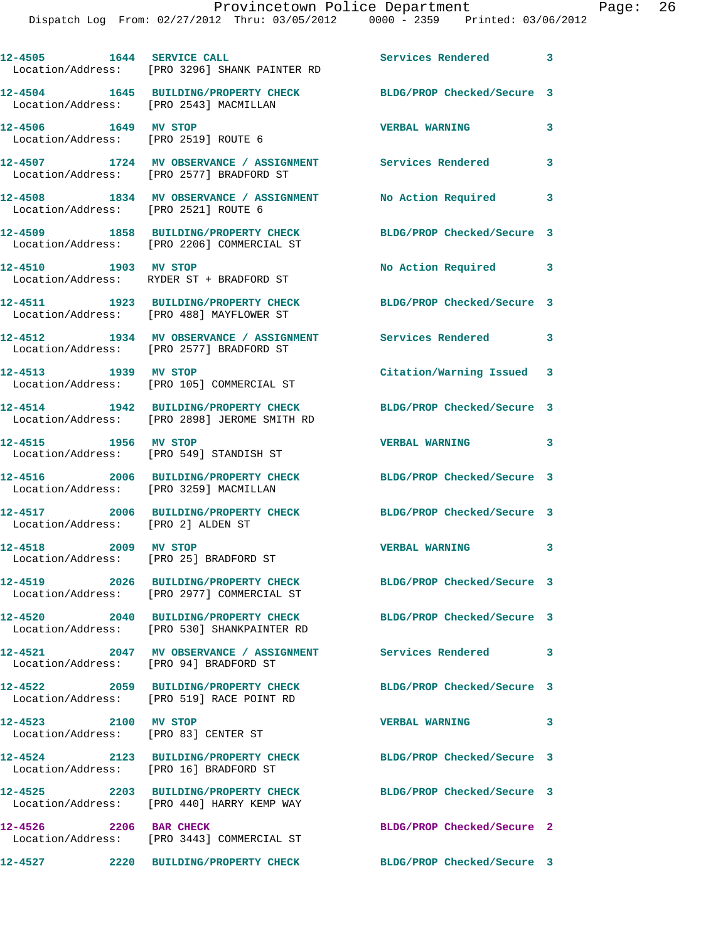| 12-4505 1644 SERVICE CALL                                    | Location/Address: [PRO 3296] SHANK PAINTER RD                                                         | Services Rendered 3        |                            |
|--------------------------------------------------------------|-------------------------------------------------------------------------------------------------------|----------------------------|----------------------------|
| Location/Address: [PRO 2543] MACMILLAN                       | 12-4504 1645 BUILDING/PROPERTY CHECK                                                                  | BLDG/PROP Checked/Secure 3 |                            |
| 12-4506 1649 MV STOP                                         | Location/Address: [PRO 2519] ROUTE 6                                                                  | <b>VERBAL WARNING</b>      | 3                          |
|                                                              | 12-4507 1724 MV OBSERVANCE / ASSIGNMENT Services Rendered<br>Location/Address: [PRO 2577] BRADFORD ST |                            | 3                          |
| Location/Address: [PRO 2521] ROUTE 6                         | 12-4508 1834 MV OBSERVANCE / ASSIGNMENT                                                               | No Action Required 3       |                            |
|                                                              | 12-4509 1858 BUILDING/PROPERTY CHECK<br>Location/Address: [PRO 2206] COMMERCIAL ST                    | BLDG/PROP Checked/Secure 3 |                            |
| 12-4510 1903 MV STOP                                         | Location/Address: RYDER ST + BRADFORD ST                                                              | No Action Required 3       |                            |
|                                                              | 12-4511 1923 BUILDING/PROPERTY CHECK<br>Location/Address: [PRO 488] MAYFLOWER ST                      | BLDG/PROP Checked/Secure 3 |                            |
|                                                              | 12-4512 1934 MV OBSERVANCE / ASSIGNMENT<br>Location/Address: [PRO 2577] BRADFORD ST                   | <b>Services Rendered</b>   | $\overline{\phantom{a}}$ 3 |
| 12-4513 1939 MV STOP                                         | Location/Address: [PRO 105] COMMERCIAL ST                                                             | Citation/Warning Issued 3  |                            |
|                                                              | 12-4514 1942 BUILDING/PROPERTY CHECK<br>Location/Address: [PRO 2898] JEROME SMITH RD                  | BLDG/PROP Checked/Secure 3 |                            |
| 12-4515 1956 MV STOP                                         | Location/Address: [PRO 549] STANDISH ST                                                               | VERBAL WARNING 3           |                            |
| Location/Address: [PRO 3259] MACMILLAN                       | 12-4516 2006 BUILDING/PROPERTY CHECK                                                                  | BLDG/PROP Checked/Secure 3 |                            |
| Location/Address: [PRO 2] ALDEN ST                           | 12-4517 2006 BUILDING/PROPERTY CHECK BLDG/PROP Checked/Secure 3                                       |                            |                            |
| 12-4518 2009 MV STOP                                         | Location/Address: [PRO 25] BRADFORD ST                                                                | <b>VERBAL WARNING</b>      | 3                          |
|                                                              | 12-4519 2026 BUILDING/PROPERTY CHECK<br>Location/Address: [PRO 2977] COMMERCIAL ST                    | BLDG/PROP Checked/Secure 3 |                            |
|                                                              | 12-4520 2040 BUILDING/PROPERTY CHECK<br>Location/Address: [PRO 530] SHANKPAINTER RD                   | BLDG/PROP Checked/Secure 3 |                            |
| Location/Address: [PRO 94] BRADFORD ST                       |                                                                                                       |                            | $\sim$ 3                   |
|                                                              | 12-4522 2059 BUILDING/PROPERTY CHECK<br>Location/Address: [PRO 519] RACE POINT RD                     | BLDG/PROP Checked/Secure 3 |                            |
| 12-4523 2100 MV STOP<br>Location/Address: [PRO 83] CENTER ST |                                                                                                       | <b>VERBAL WARNING</b>      | 3                          |
| Location/Address: [PRO 16] BRADFORD ST                       | 12-4524 2123 BUILDING/PROPERTY CHECK BLDG/PROP Checked/Secure 3                                       |                            |                            |
|                                                              | 12-4525 2203 BUILDING/PROPERTY CHECK<br>Location/Address: [PRO 440] HARRY KEMP WAY                    | BLDG/PROP Checked/Secure 3 |                            |
| 12-4526 2206 BAR CHECK                                       | Location/Address: [PRO 3443] COMMERCIAL ST                                                            | BLDG/PROP Checked/Secure 2 |                            |
|                                                              | 12-4527 2220 BUILDING/PROPERTY CHECK BLDG/PROP Checked/Secure 3                                       |                            |                            |